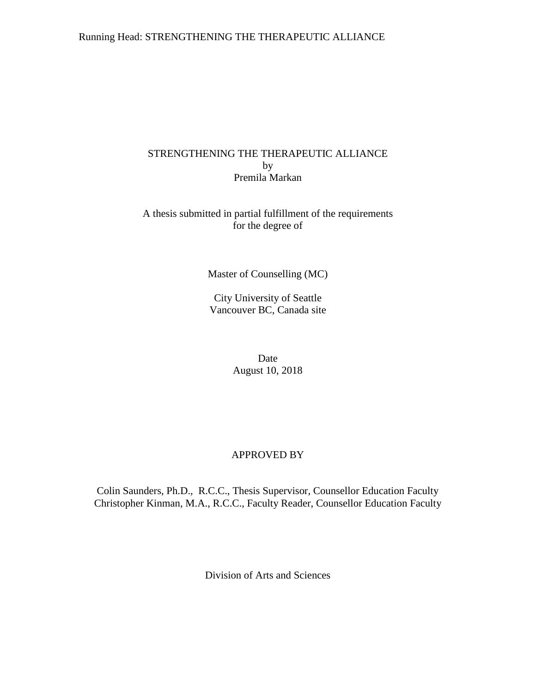## Running Head: STRENGTHENING THE THERAPEUTIC ALLIANCE

# STRENGTHENING THE THERAPEUTIC ALLIANCE by Premila Markan

# A thesis submitted in partial fulfillment of the requirements for the degree of

Master of Counselling (MC)

City University of Seattle Vancouver BC, Canada site

> Date August 10, 2018

# APPROVED BY

Colin Saunders, Ph.D., R.C.C., Thesis Supervisor, Counsellor Education Faculty Christopher Kinman, M.A., R.C.C., Faculty Reader, Counsellor Education Faculty

Division of Arts and Sciences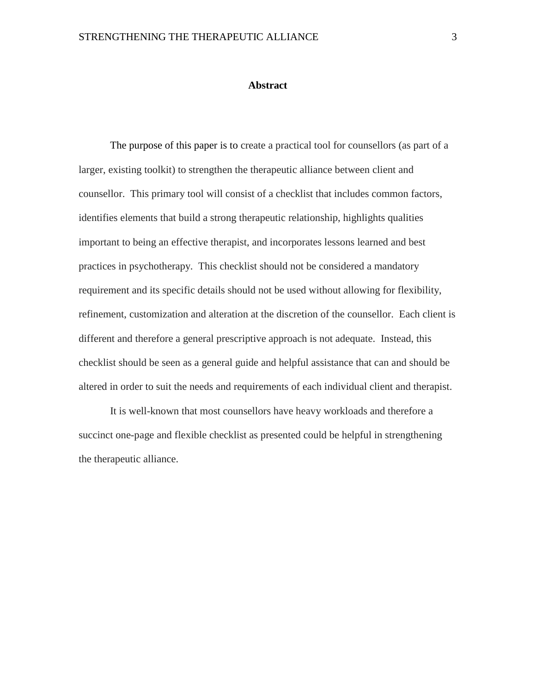#### **Abstract**

The purpose of this paper is to create a practical tool for counsellors (as part of a larger, existing toolkit) to strengthen the therapeutic alliance between client and counsellor. This primary tool will consist of a checklist that includes common factors, identifies elements that build a strong therapeutic relationship, highlights qualities important to being an effective therapist, and incorporates lessons learned and best practices in psychotherapy. This checklist should not be considered a mandatory requirement and its specific details should not be used without allowing for flexibility, refinement, customization and alteration at the discretion of the counsellor. Each client is different and therefore a general prescriptive approach is not adequate. Instead, this checklist should be seen as a general guide and helpful assistance that can and should be altered in order to suit the needs and requirements of each individual client and therapist.

It is well-known that most counsellors have heavy workloads and therefore a succinct one-page and flexible checklist as presented could be helpful in strengthening the therapeutic alliance.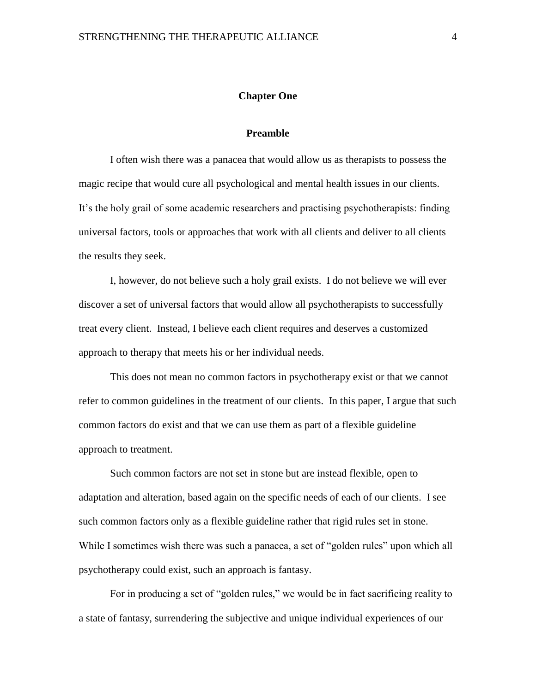#### **Chapter One**

#### **Preamble**

<span id="page-3-1"></span><span id="page-3-0"></span>I often wish there was a panacea that would allow us as therapists to possess the magic recipe that would cure all psychological and mental health issues in our clients. It's the holy grail of some academic researchers and practising psychotherapists: finding universal factors, tools or approaches that work with all clients and deliver to all clients the results they seek.

I, however, do not believe such a holy grail exists. I do not believe we will ever discover a set of universal factors that would allow all psychotherapists to successfully treat every client. Instead, I believe each client requires and deserves a customized approach to therapy that meets his or her individual needs.

This does not mean no common factors in psychotherapy exist or that we cannot refer to common guidelines in the treatment of our clients. In this paper, I argue that such common factors do exist and that we can use them as part of a flexible guideline approach to treatment.

Such common factors are not set in stone but are instead flexible, open to adaptation and alteration, based again on the specific needs of each of our clients. I see such common factors only as a flexible guideline rather that rigid rules set in stone. While I sometimes wish there was such a panacea, a set of "golden rules" upon which all psychotherapy could exist, such an approach is fantasy.

For in producing a set of "golden rules," we would be in fact sacrificing reality to a state of fantasy, surrendering the subjective and unique individual experiences of our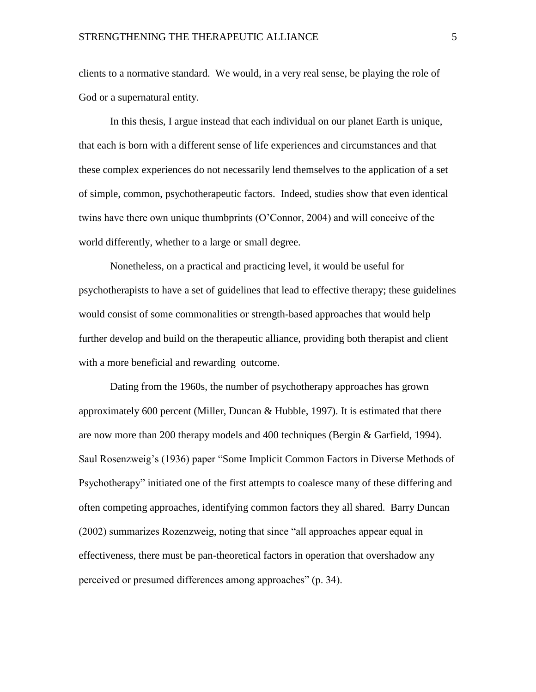clients to a normative standard. We would, in a very real sense, be playing the role of God or a supernatural entity.

In this thesis, I argue instead that each individual on our planet Earth is unique, that each is born with a different sense of life experiences and circumstances and that these complex experiences do not necessarily lend themselves to the application of a set of simple, common, psychotherapeutic factors. Indeed, studies show that even identical twins have there own unique thumbprints (O'Connor, 2004) and will conceive of the world differently, whether to a large or small degree.

Nonetheless, on a practical and practicing level, it would be useful for psychotherapists to have a set of guidelines that lead to effective therapy; these guidelines would consist of some commonalities or strength-based approaches that would help further develop and build on the therapeutic alliance, providing both therapist and client with a more beneficial and rewarding outcome.

Dating from the 1960s, the number of psychotherapy approaches has grown approximately 600 percent (Miller, Duncan & Hubble, 1997). It is estimated that there are now more than 200 therapy models and 400 techniques (Bergin & Garfield, 1994). Saul Rosenzweig's (1936) paper "Some Implicit Common Factors in Diverse Methods of Psychotherapy" initiated one of the first attempts to coalesce many of these differing and often competing approaches, identifying common factors they all shared. Barry Duncan (2002) summarizes Rozenzweig, noting that since "all approaches appear equal in effectiveness, there must be pan-theoretical factors in operation that overshadow any perceived or presumed differences among approaches" (p. 34).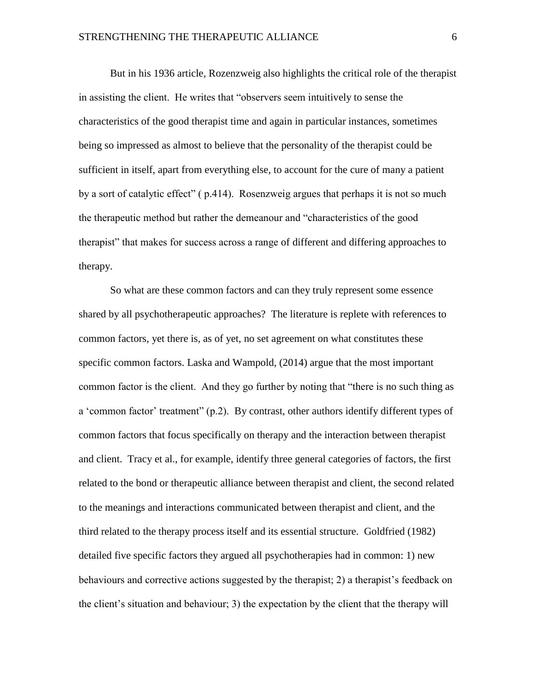But in his 1936 article, Rozenzweig also highlights the critical role of the therapist in assisting the client. He writes that "observers seem intuitively to sense the characteristics of the good therapist time and again in particular instances, sometimes being so impressed as almost to believe that the personality of the therapist could be sufficient in itself, apart from everything else, to account for the cure of many a patient by a sort of catalytic effect" ( p.414). Rosenzweig argues that perhaps it is not so much the therapeutic method but rather the demeanour and "characteristics of the good therapist" that makes for success across a range of different and differing approaches to therapy.

So what are these common factors and can they truly represent some essence shared by all psychotherapeutic approaches? The literature is replete with references to common factors, yet there is, as of yet, no set agreement on what constitutes these specific common factors. Laska and Wampold, (2014) argue that the most important common factor is the client. And they go further by noting that "there is no such thing as a 'common factor' treatment" (p.2). By contrast, other authors identify different types of common factors that focus specifically on therapy and the interaction between therapist and client. Tracy et al., for example, identify three general categories of factors, the first related to the bond or therapeutic alliance between therapist and client, the second related to the meanings and interactions communicated between therapist and client, and the third related to the therapy process itself and its essential structure. Goldfried (1982) detailed five specific factors they argued all psychotherapies had in common: 1) new behaviours and corrective actions suggested by the therapist; 2) a therapist's feedback on the client's situation and behaviour; 3) the expectation by the client that the therapy will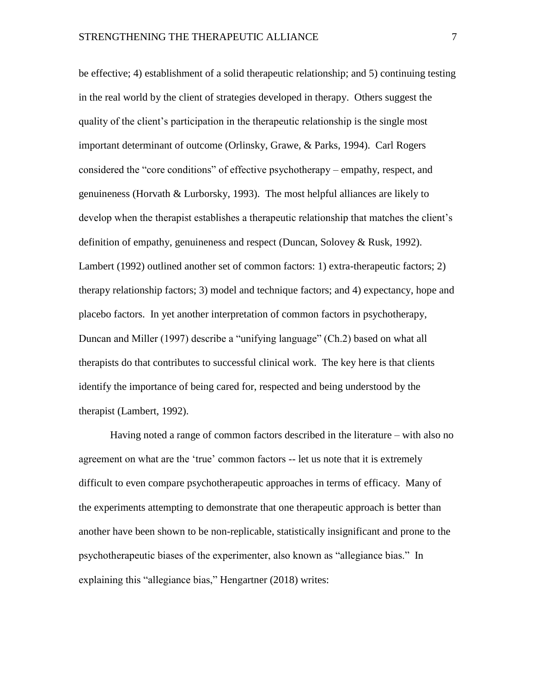be effective; 4) establishment of a solid therapeutic relationship; and 5) continuing testing in the real world by the client of strategies developed in therapy. Others suggest the quality of the client's participation in the therapeutic relationship is the single most important determinant of outcome (Orlinsky, Grawe, & Parks, 1994). Carl Rogers considered the "core conditions" of effective psychotherapy – empathy, respect, and genuineness (Horvath & Lurborsky, 1993). The most helpful alliances are likely to develop when the therapist establishes a therapeutic relationship that matches the client's definition of empathy, genuineness and respect (Duncan, Solovey & Rusk, 1992). Lambert (1992) outlined another set of common factors: 1) extra-therapeutic factors; 2) therapy relationship factors; 3) model and technique factors; and 4) expectancy, hope and placebo factors. In yet another interpretation of common factors in psychotherapy, Duncan and Miller (1997) describe a "unifying language" (Ch.2) based on what all therapists do that contributes to successful clinical work. The key here is that clients identify the importance of being cared for, respected and being understood by the therapist (Lambert, 1992).

Having noted a range of common factors described in the literature – with also no agreement on what are the 'true' common factors -- let us note that it is extremely difficult to even compare psychotherapeutic approaches in terms of efficacy. Many of the experiments attempting to demonstrate that one therapeutic approach is better than another have been shown to be non-replicable, statistically insignificant and prone to the psychotherapeutic biases of the experimenter, also known as "allegiance bias." In explaining this "allegiance bias," Hengartner (2018) writes: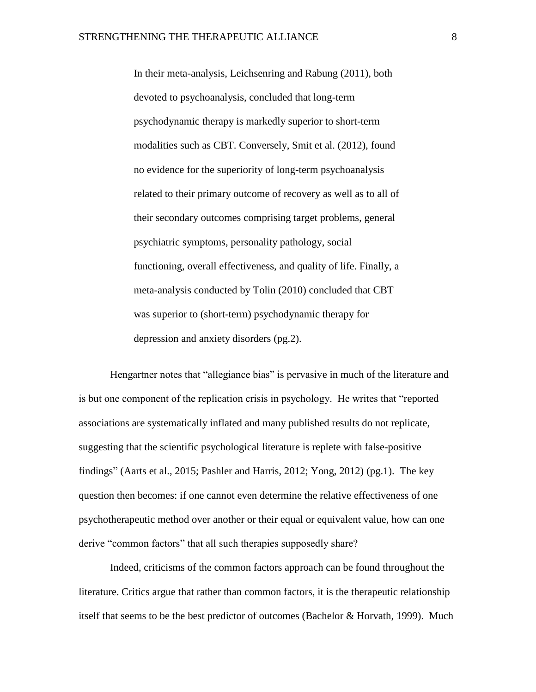In their meta-analysis, Leichsenring and Rabung (2011), both devoted to psychoanalysis, concluded that long-term psychodynamic therapy is markedly superior to short-term modalities such as CBT. Conversely, Smit et al. (2012), found no evidence for the superiority of long-term psychoanalysis related to their primary outcome of recovery as well as to all of their secondary outcomes comprising target problems, general psychiatric symptoms, personality pathology, social functioning, overall effectiveness, and quality of life. Finally, a meta-analysis conducted by Tolin (2010) concluded that CBT was superior to (short-term) psychodynamic therapy for depression and anxiety disorders (pg.2).

Hengartner notes that "allegiance bias" is pervasive in much of the literature and is but one component of the replication crisis in psychology. He writes that "reported associations are systematically inflated and many published results do not replicate, suggesting that the scientific psychological literature is replete with false-positive findings" (Aarts et al., 2015; Pashler and Harris, 2012; Yong, 2012) (pg.1). The key question then becomes: if one cannot even determine the relative effectiveness of one psychotherapeutic method over another or their equal or equivalent value, how can one derive "common factors" that all such therapies supposedly share?

Indeed, criticisms of the common factors approach can be found throughout the literature. Critics argue that rather than common factors, it is the therapeutic relationship itself that seems to be the best predictor of outcomes [\(Bachelor & Horvath, 1999\)](https://search-proquest-com.proxy.cityu.edu/docview/1689317578?pq-origsite=summon#REF_c3). Much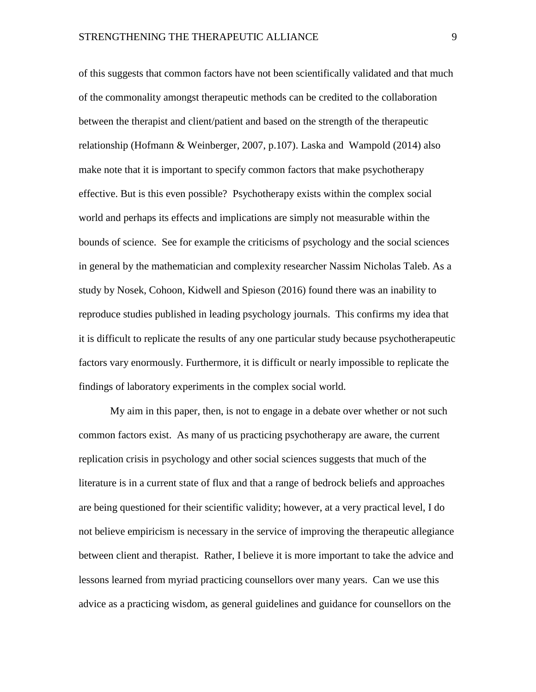of this suggests that common factors have not been scientifically validated and that much of the commonality amongst therapeutic methods can be credited to the collaboration between the therapist and client/patient and based on the strength of the therapeutic relationship (Hofmann & Weinberger, 2007, p.107). Laska and Wampold (2014) also make note that it is important to specify common factors that make psychotherapy effective. But is this even possible? Psychotherapy exists within the complex social world and perhaps its effects and implications are simply not measurable within the bounds of science. See for example the criticisms of psychology and the social sciences in general by the mathematician and complexity researcher Nassim Nicholas Taleb. As a study by Nosek, Cohoon, Kidwell and Spieson (2016) found there was an inability to reproduce studies published in leading psychology journals. This confirms my idea that it is difficult to replicate the results of any one particular study because psychotherapeutic factors vary enormously. Furthermore, it is difficult or nearly impossible to replicate the findings of laboratory experiments in the complex social world.

My aim in this paper, then, is not to engage in a debate over whether or not such common factors exist. As many of us practicing psychotherapy are aware, the current replication crisis in psychology and other social sciences suggests that much of the literature is in a current state of flux and that a range of bedrock beliefs and approaches are being questioned for their scientific validity; however, at a very practical level, I do not believe empiricism is necessary in the service of improving the therapeutic allegiance between client and therapist. Rather, I believe it is more important to take the advice and lessons learned from myriad practicing counsellors over many years. Can we use this advice as a practicing wisdom, as general guidelines and guidance for counsellors on the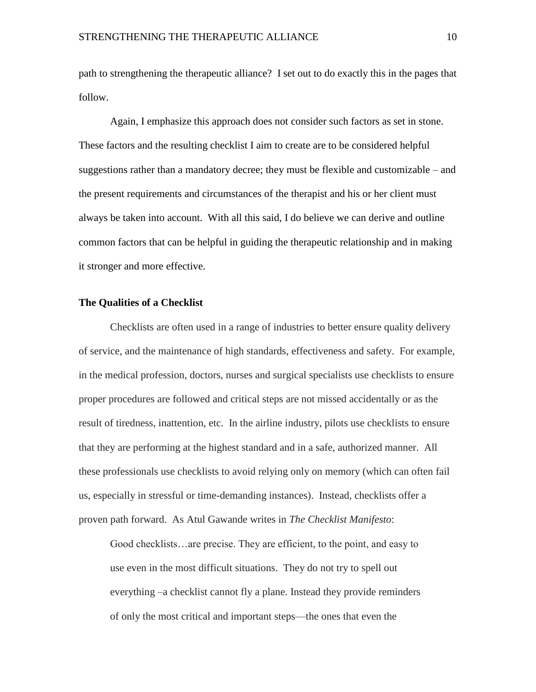path to strengthening the therapeutic alliance? I set out to do exactly this in the pages that follow.

Again, I emphasize this approach does not consider such factors as set in stone. These factors and the resulting checklist I aim to create are to be considered helpful suggestions rather than a mandatory decree; they must be flexible and customizable – and the present requirements and circumstances of the therapist and his or her client must always be taken into account. With all this said, I do believe we can derive and outline common factors that can be helpful in guiding the therapeutic relationship and in making it stronger and more effective.

#### <span id="page-9-0"></span>**The Qualities of a Checklist**

Checklists are often used in a range of industries to better ensure quality delivery of service, and the maintenance of high standards, effectiveness and safety. For example, in the medical profession, doctors, nurses and surgical specialists use checklists to ensure proper procedures are followed and critical steps are not missed accidentally or as the result of tiredness, inattention, etc. In the airline industry, pilots use checklists to ensure that they are performing at the highest standard and in a safe, authorized manner. All these professionals use checklists to avoid relying only on memory (which can often fail us, especially in stressful or time-demanding instances). Instead, checklists offer a proven path forward. As Atul Gawande writes in *The Checklist Manifesto*:

Good checklists…are precise. They are efficient, to the point, and easy to use even in the most difficult situations. They do not try to spell out everything –a checklist cannot fly a plane. Instead they provide reminders of only the most critical and important steps—the ones that even the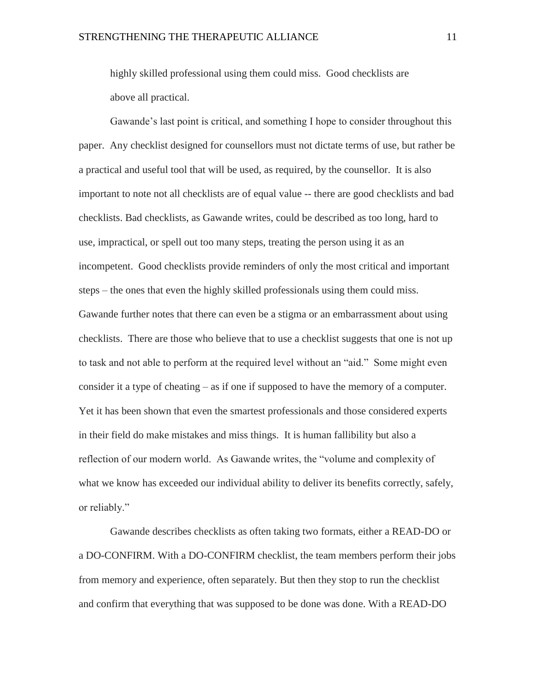highly skilled professional using them could miss. Good checklists are above all practical.

Gawande's last point is critical, and something I hope to consider throughout this paper. Any checklist designed for counsellors must not dictate terms of use, but rather be a practical and useful tool that will be used, as required, by the counsellor. It is also important to note not all checklists are of equal value -- there are good checklists and bad checklists. Bad checklists, as Gawande writes, could be described as too long, hard to use, impractical, or spell out too many steps, treating the person using it as an incompetent. Good checklists provide reminders of only the most critical and important steps – the ones that even the highly skilled professionals using them could miss. Gawande further notes that there can even be a stigma or an embarrassment about using checklists. There are those who believe that to use a checklist suggests that one is not up to task and not able to perform at the required level without an "aid." Some might even consider it a type of cheating – as if one if supposed to have the memory of a computer. Yet it has been shown that even the smartest professionals and those considered experts in their field do make mistakes and miss things. It is human fallibility but also a reflection of our modern world. As Gawande writes, the "volume and complexity of what we know has exceeded our individual ability to deliver its benefits correctly, safely, or reliably."

Gawande describes checklists as often taking two formats, either a READ-DO or a DO-CONFIRM. With a DO-CONFIRM checklist, the team members perform their jobs from memory and experience, often separately. But then they stop to run the checklist and confirm that everything that was supposed to be done was done. With a READ-DO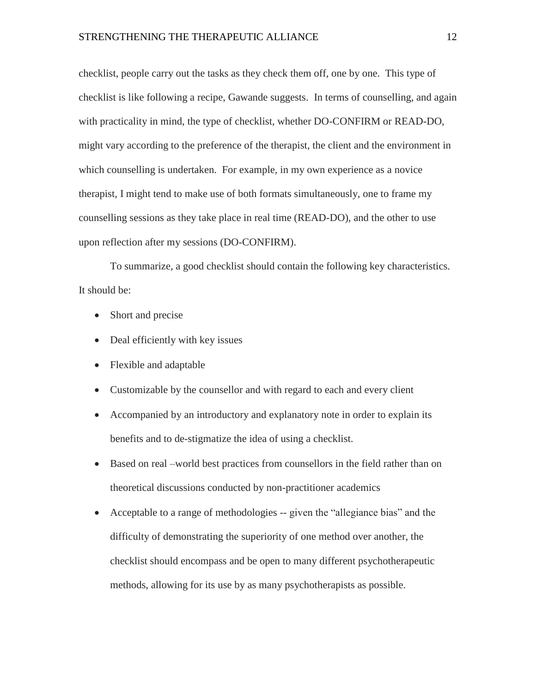checklist, people carry out the tasks as they check them off, one by one. This type of checklist is like following a recipe, Gawande suggests. In terms of counselling, and again with practicality in mind, the type of checklist, whether DO-CONFIRM or READ-DO, might vary according to the preference of the therapist, the client and the environment in which counselling is undertaken. For example, in my own experience as a novice therapist, I might tend to make use of both formats simultaneously, one to frame my counselling sessions as they take place in real time (READ-DO), and the other to use upon reflection after my sessions (DO-CONFIRM).

To summarize, a good checklist should contain the following key characteristics. It should be:

- Short and precise
- Deal efficiently with key issues
- Flexible and adaptable
- Customizable by the counsellor and with regard to each and every client
- Accompanied by an introductory and explanatory note in order to explain its benefits and to de-stigmatize the idea of using a checklist.
- Based on real –world best practices from counsellors in the field rather than on theoretical discussions conducted by non-practitioner academics
- Acceptable to a range of methodologies -- given the "allegiance bias" and the difficulty of demonstrating the superiority of one method over another, the checklist should encompass and be open to many different psychotherapeutic methods, allowing for its use by as many psychotherapists as possible.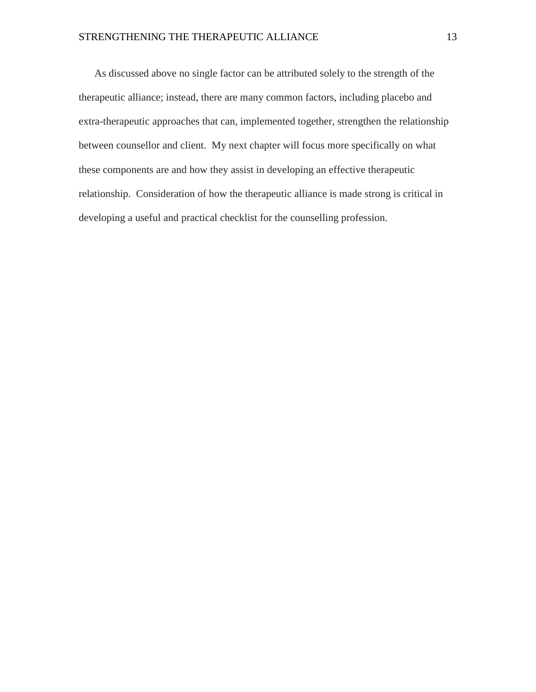As discussed above no single factor can be attributed solely to the strength of the therapeutic alliance; instead, there are many common factors, including placebo and extra-therapeutic approaches that can, implemented together, strengthen the relationship between counsellor and client. My next chapter will focus more specifically on what these components are and how they assist in developing an effective therapeutic relationship. Consideration of how the therapeutic alliance is made strong is critical in developing a useful and practical checklist for the counselling profession.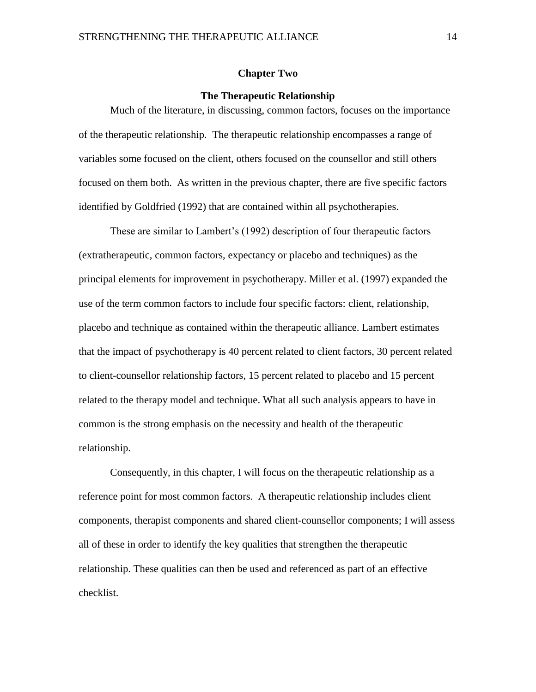#### **Chapter Two**

#### **The Therapeutic Relationship**

<span id="page-13-1"></span><span id="page-13-0"></span>Much of the literature, in discussing, common factors, focuses on the importance of the therapeutic relationship. The therapeutic relationship encompasses a range of variables some focused on the client, others focused on the counsellor and still others focused on them both. As written in the previous chapter, there are five specific factors identified by Goldfried (1992) that are contained within all psychotherapies.

These are similar to Lambert's (1992) description of four therapeutic factors (extratherapeutic, common factors, expectancy or placebo and techniques) as the principal elements for improvement in psychotherapy. Miller et al. (1997) expanded the use of the term common factors to include four specific factors: client, relationship, placebo and technique as contained within the therapeutic alliance. Lambert estimates that the impact of psychotherapy is 40 percent related to client factors, 30 percent related to client-counsellor relationship factors, 15 percent related to placebo and 15 percent related to the therapy model and technique. What all such analysis appears to have in common is the strong emphasis on the necessity and health of the therapeutic relationship.

Consequently, in this chapter, I will focus on the therapeutic relationship as a reference point for most common factors. A therapeutic relationship includes client components, therapist components and shared client-counsellor components; I will assess all of these in order to identify the key qualities that strengthen the therapeutic relationship. These qualities can then be used and referenced as part of an effective checklist.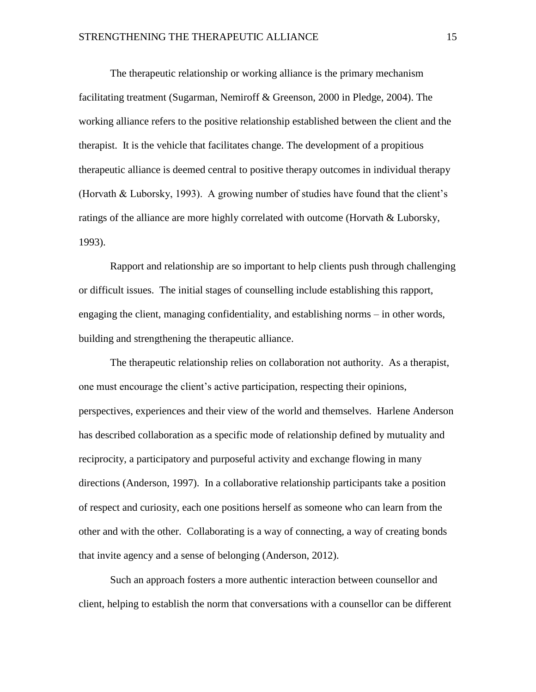The therapeutic relationship or working alliance is the primary mechanism facilitating treatment (Sugarman, Nemiroff & Greenson, 2000 in Pledge, 2004). The working alliance refers to the positive relationship established between the client and the therapist. It is the vehicle that facilitates change. The development of a propitious therapeutic alliance is deemed central to positive therapy outcomes in individual therapy (Horvath & Luborsky, 1993). A growing number of studies have found that the client's ratings of the alliance are more highly correlated with outcome (Horvath & Luborsky, 1993).

Rapport and relationship are so important to help clients push through challenging or difficult issues. The initial stages of counselling include establishing this rapport, engaging the client, managing confidentiality, and establishing norms – in other words, building and strengthening the therapeutic alliance.

The therapeutic relationship relies on collaboration not authority. As a therapist, one must encourage the client's active participation, respecting their opinions, perspectives, experiences and their view of the world and themselves. Harlene Anderson has described collaboration as a specific mode of relationship defined by mutuality and reciprocity, a participatory and purposeful activity and exchange flowing in many directions (Anderson, 1997). In a collaborative relationship participants take a position of respect and curiosity, each one positions herself as someone who can learn from the other and with the other. Collaborating is a way of connecting, a way of creating bonds that invite agency and a sense of belonging (Anderson, 2012).

Such an approach fosters a more authentic interaction between counsellor and client, helping to establish the norm that conversations with a counsellor can be different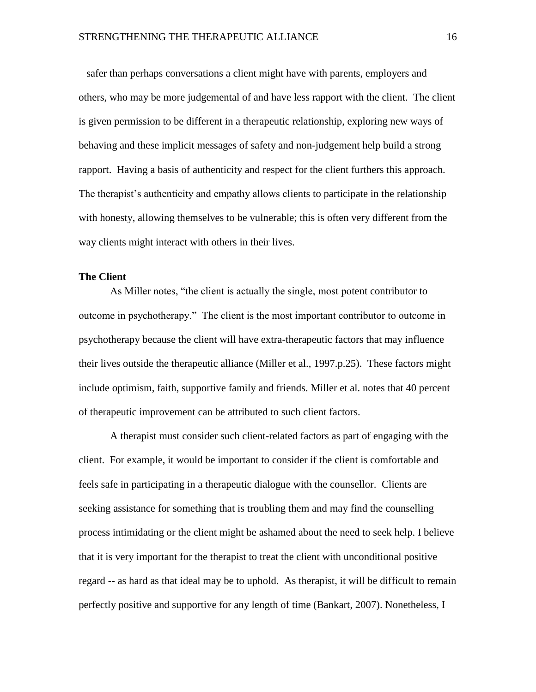– safer than perhaps conversations a client might have with parents, employers and others, who may be more judgemental of and have less rapport with the client. The client is given permission to be different in a therapeutic relationship, exploring new ways of behaving and these implicit messages of safety and non-judgement help build a strong rapport. Having a basis of authenticity and respect for the client furthers this approach. The therapist's authenticity and empathy allows clients to participate in the relationship with honesty, allowing themselves to be vulnerable; this is often very different from the way clients might interact with others in their lives.

## <span id="page-15-0"></span>**The Client**

As Miller notes, "the client is actually the single, most potent contributor to outcome in psychotherapy." The client is the most important contributor to outcome in psychotherapy because the client will have extra-therapeutic factors that may influence their lives outside the therapeutic alliance (Miller et al., 1997.p.25). These factors might include optimism, faith, supportive family and friends. Miller et al. notes that 40 percent of therapeutic improvement can be attributed to such client factors.

A therapist must consider such client-related factors as part of engaging with the client. For example, it would be important to consider if the client is comfortable and feels safe in participating in a therapeutic dialogue with the counsellor. Clients are seeking assistance for something that is troubling them and may find the counselling process intimidating or the client might be ashamed about the need to seek help. I believe that it is very important for the therapist to treat the client with unconditional positive regard -- as hard as that ideal may be to uphold. As therapist, it will be difficult to remain perfectly positive and supportive for any length of time (Bankart, 2007). Nonetheless, I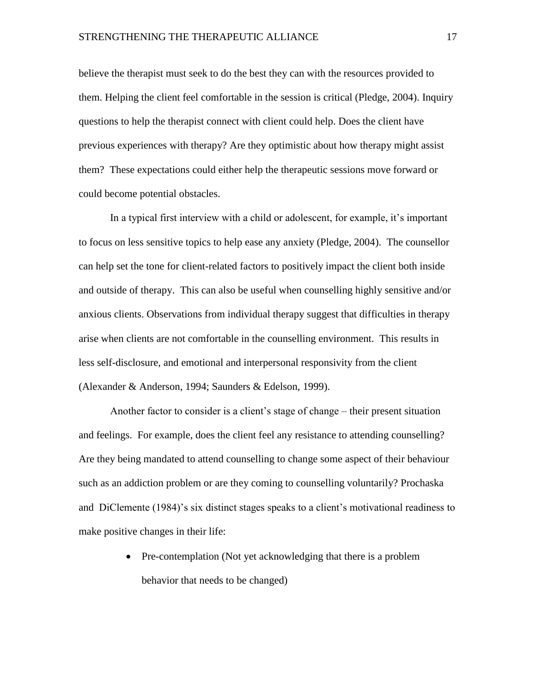believe the therapist must seek to do the best they can with the resources provided to them. Helping the client feel comfortable in the session is critical (Pledge, 2004). Inquiry questions to help the therapist connect with client could help. Does the client have previous experiences with therapy? Are they optimistic about how therapy might assist them? These expectations could either help the therapeutic sessions move forward or could become potential obstacles.

In a typical first interview with a child or adolescent, for example, it's important to focus on less sensitive topics to help ease any anxiety (Pledge, 2004). The counsellor can help set the tone for client-related factors to positively impact the client both inside and outside of therapy. This can also be useful when counselling highly sensitive and/or anxious clients. Observations from individual therapy suggest that difficulties in therapy arise when clients are not comfortable in the counselling environment. This results in less self-disclosure, and emotional and interpersonal responsivity from the client (Alexander & Anderson, 1994; Saunders & Edelson, 1999).

Another factor to consider is a client's stage of change – their present situation and feelings. For example, does the client feel any resistance to attending counselling? Are they being mandated to attend counselling to change some aspect of their behaviour such as an addiction problem or are they coming to counselling voluntarily? Prochaska and DiClemente (1984)'s six distinct stages speaks to a client's motivational readiness to make positive changes in their life:

> • Pre-contemplation (Not yet acknowledging that there is a problem behavior that needs to be changed)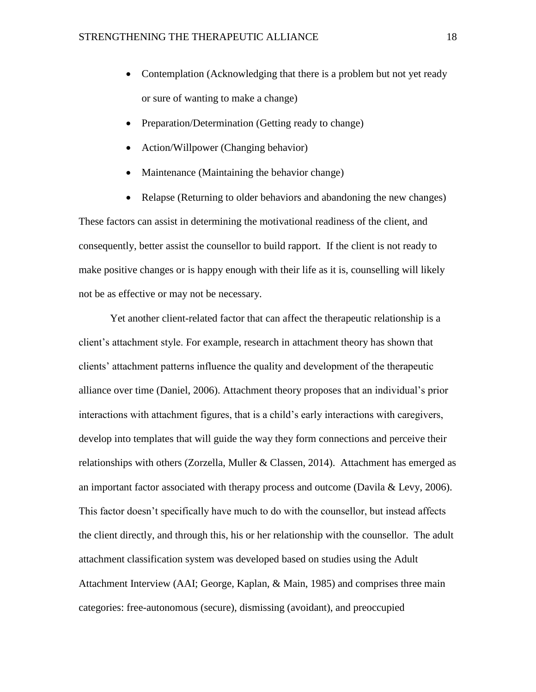- Contemplation (Acknowledging that there is a problem but not yet ready or sure of wanting to make a change)
- Preparation/Determination (Getting ready to change)
- Action/Willpower (Changing behavior)
- Maintenance (Maintaining the behavior change)
- Relapse (Returning to older behaviors and abandoning the new changes)

These factors can assist in determining the motivational readiness of the client, and consequently, better assist the counsellor to build rapport. If the client is not ready to make positive changes or is happy enough with their life as it is, counselling will likely not be as effective or may not be necessary.

Yet another client-related factor that can affect the therapeutic relationship is a client's attachment style. For example, research in attachment theory has shown that clients' attachment patterns influence the quality and development of the therapeutic alliance over time (Daniel, 2006). Attachment theory proposes that an individual's prior interactions with attachment figures, that is a child's early interactions with caregivers, develop into templates that will guide the way they form connections and perceive their relationships with others (Zorzella, Muller & Classen, 2014). Attachment has emerged as an important factor associated with therapy process and outcome (Davila & Levy, 2006). This factor doesn't specifically have much to do with the counsellor, but instead affects the client directly, and through this, his or her relationship with the counsellor. The adult attachment classification system was developed based on studies using the Adult Attachment Interview (AAI; George, Kaplan, & Main, 1985) and comprises three main categories: free-autonomous (secure), dismissing (avoidant), and preoccupied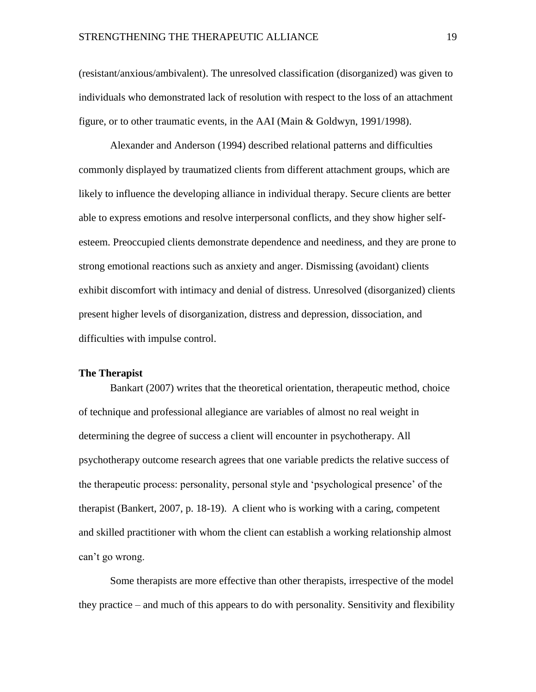(resistant/anxious/ambivalent). The unresolved classification (disorganized) was given to individuals who demonstrated lack of resolution with respect to the loss of an attachment figure, or to other traumatic events, in the AAI (Main & Goldwyn, 1991/1998).

Alexander and Anderson (1994) described relational patterns and difficulties commonly displayed by traumatized clients from different attachment groups, which are likely to influence the developing alliance in individual therapy. Secure clients are better able to express emotions and resolve interpersonal conflicts, and they show higher selfesteem. Preoccupied clients demonstrate dependence and neediness, and they are prone to strong emotional reactions such as anxiety and anger. Dismissing (avoidant) clients exhibit discomfort with intimacy and denial of distress. Unresolved (disorganized) clients present higher levels of disorganization, distress and depression, dissociation, and difficulties with impulse control.

#### <span id="page-18-0"></span>**The Therapist**

Bankart (2007) writes that the theoretical orientation, therapeutic method, choice of technique and professional allegiance are variables of almost no real weight in determining the degree of success a client will encounter in psychotherapy. All psychotherapy outcome research agrees that one variable predicts the relative success of the therapeutic process: personality, personal style and 'psychological presence' of the therapist (Bankert, 2007, p. 18-19). A client who is working with a caring, competent and skilled practitioner with whom the client can establish a working relationship almost can't go wrong.

Some therapists are more effective than other therapists, irrespective of the model they practice – and much of this appears to do with personality. Sensitivity and flexibility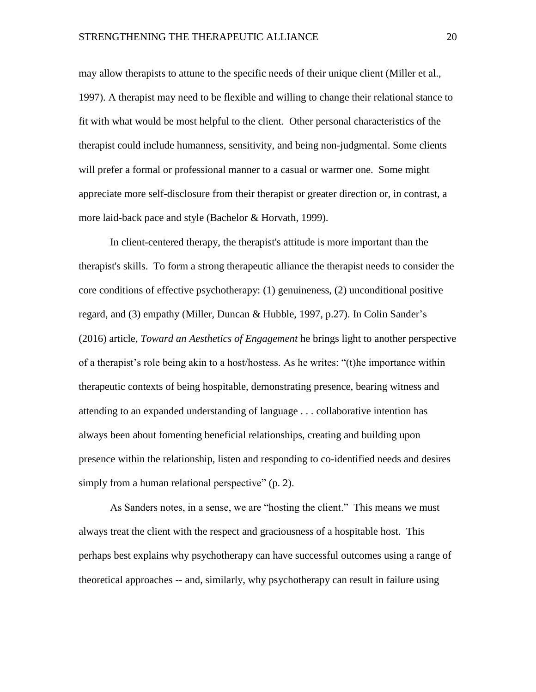may allow therapists to attune to the specific needs of their unique client (Miller et al., 1997). A therapist may need to be flexible and willing to change their relational stance to fit with what would be most helpful to the client. Other personal characteristics of the therapist could include humanness, sensitivity, and being non-judgmental. Some clients will prefer a formal or professional manner to a casual or warmer one. Some might appreciate more self-disclosure from their therapist or greater direction or, in contrast, a more laid-back pace and style (Bachelor & Horvath, 1999).

In client-centered therapy, the therapist's attitude is more important than the therapist's skills. To form a strong therapeutic alliance the therapist needs to consider the core conditions of effective psychotherapy: (1) genuineness, (2) unconditional positive regard, and (3) empathy (Miller, Duncan & Hubble, 1997, p.27). In Colin Sander's (2016) article, *Toward an Aesthetics of Engagement* he brings light to another perspective of a therapist's role being akin to a host/hostess. As he writes: "(t)he importance within therapeutic contexts of being hospitable, demonstrating presence, bearing witness and attending to an expanded understanding of language . . . collaborative intention has always been about fomenting beneficial relationships, creating and building upon presence within the relationship, listen and responding to co-identified needs and desires simply from a human relational perspective" (p. 2).

As Sanders notes, in a sense, we are "hosting the client." This means we must always treat the client with the respect and graciousness of a hospitable host. This perhaps best explains why psychotherapy can have successful outcomes using a range of theoretical approaches -- and, similarly, why psychotherapy can result in failure using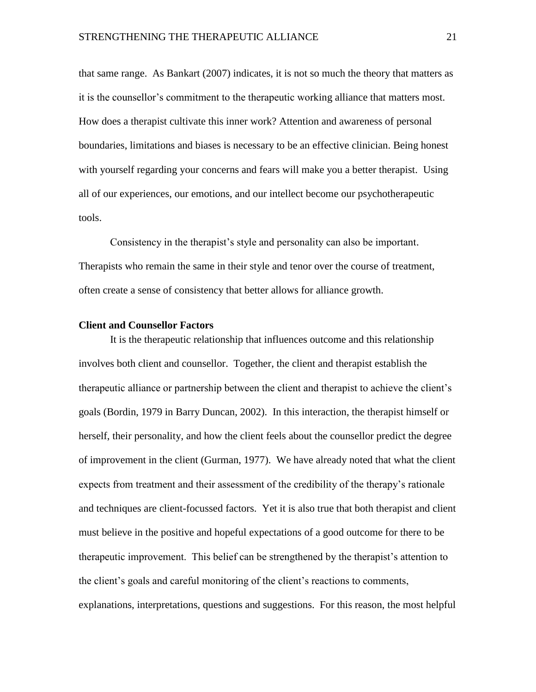that same range. As Bankart (2007) indicates, it is not so much the theory that matters as it is the counsellor's commitment to the therapeutic working alliance that matters most. How does a therapist cultivate this inner work? Attention and awareness of personal boundaries, limitations and biases is necessary to be an effective clinician. Being honest with yourself regarding your concerns and fears will make you a better therapist. Using all of our experiences, our emotions, and our intellect become our psychotherapeutic tools.

Consistency in the therapist's style and personality can also be important. Therapists who remain the same in their style and tenor over the course of treatment, often create a sense of consistency that better allows for alliance growth.

#### <span id="page-20-0"></span>**Client and Counsellor Factors**

It is the therapeutic relationship that influences outcome and this relationship involves both client and counsellor. Together, the client and therapist establish the therapeutic alliance or partnership between the client and therapist to achieve the client's goals (Bordin, 1979 in Barry Duncan, 2002). In this interaction, the therapist himself or herself, their personality, and how the client feels about the counsellor predict the degree of improvement in the client (Gurman, 1977). We have already noted that what the client expects from treatment and their assessment of the credibility of the therapy's rationale and techniques are client-focussed factors. Yet it is also true that both therapist and client must believe in the positive and hopeful expectations of a good outcome for there to be therapeutic improvement. This belief can be strengthened by the therapist's attention to the client's goals and careful monitoring of the client's reactions to comments, explanations, interpretations, questions and suggestions. For this reason, the most helpful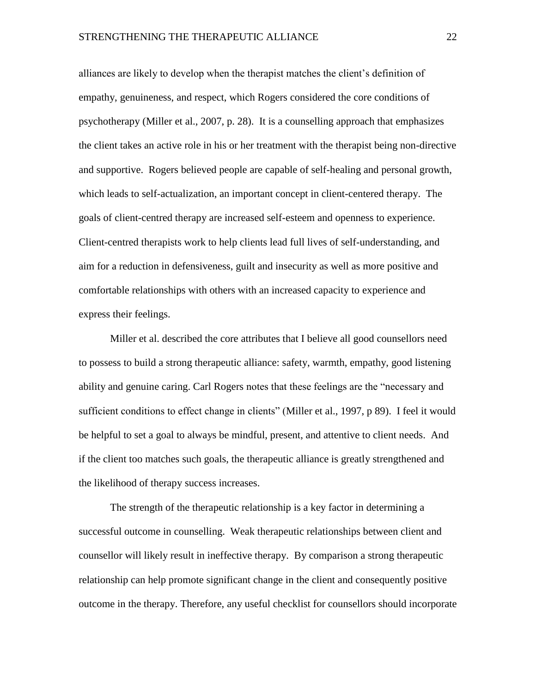alliances are likely to develop when the therapist matches the client's definition of empathy, genuineness, and respect, which Rogers considered the core conditions of psychotherapy (Miller et al., 2007, p. 28). It is a counselling approach that emphasizes the client takes an active role in his or her treatment with the therapist being non-directive and supportive. Rogers believed people are capable of self-healing and personal growth, which leads to self-actualization, an important concept in client-centered therapy. The goals of client-centred therapy are increased self-esteem and openness to experience. Client-centred therapists work to help clients lead full lives of self-understanding, and aim for a reduction in defensiveness, guilt and insecurity as well as more positive and comfortable relationships with others with an increased capacity to experience and express their feelings.

Miller et al. described the core attributes that I believe all good counsellors need to possess to build a strong therapeutic alliance: safety, warmth, empathy, good listening ability and genuine caring. Carl Rogers notes that these feelings are the "necessary and sufficient conditions to effect change in clients" (Miller et al., 1997, p 89). I feel it would be helpful to set a goal to always be mindful, present, and attentive to client needs. And if the client too matches such goals, the therapeutic alliance is greatly strengthened and the likelihood of therapy success increases.

The strength of the therapeutic relationship is a key factor in determining a successful outcome in counselling. Weak therapeutic relationships between client and counsellor will likely result in ineffective therapy. By comparison a strong therapeutic relationship can help promote significant change in the client and consequently positive outcome in the therapy. Therefore, any useful checklist for counsellors should incorporate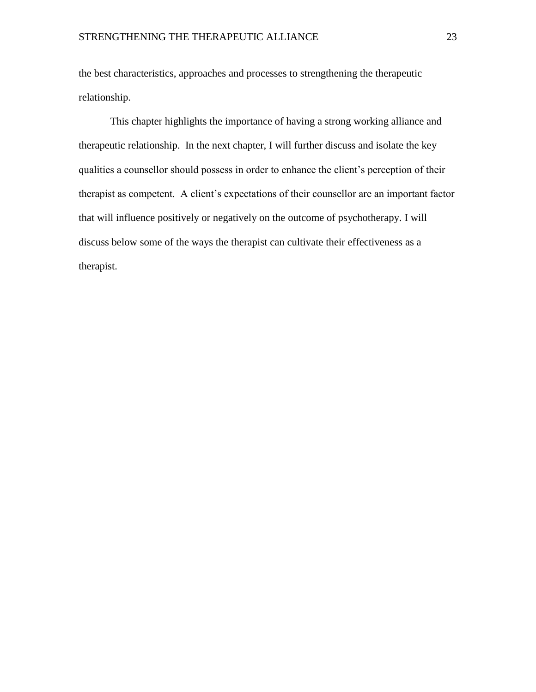the best characteristics, approaches and processes to strengthening the therapeutic relationship.

This chapter highlights the importance of having a strong working alliance and therapeutic relationship. In the next chapter, I will further discuss and isolate the key qualities a counsellor should possess in order to enhance the client's perception of their therapist as competent. A client's expectations of their counsellor are an important factor that will influence positively or negatively on the outcome of psychotherapy. I will discuss below some of the ways the therapist can cultivate their effectiveness as a therapist.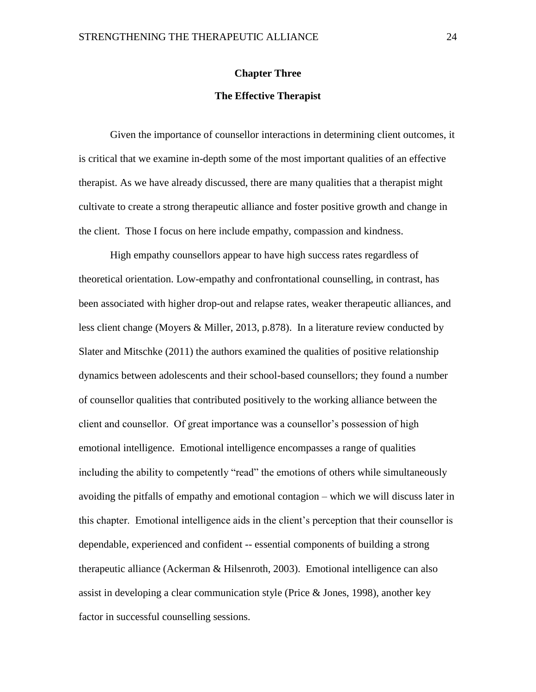#### **Chapter Three**

#### **The Effective Therapist**

<span id="page-23-1"></span><span id="page-23-0"></span>Given the importance of counsellor interactions in determining client outcomes, it is critical that we examine in-depth some of the most important qualities of an effective therapist. As we have already discussed, there are many qualities that a therapist might cultivate to create a strong therapeutic alliance and foster positive growth and change in the client. Those I focus on here include empathy, compassion and kindness.

High empathy counsellors appear to have high success rates regardless of theoretical orientation. Low-empathy and confrontational counselling, in contrast, has been associated with higher drop-out and relapse rates, weaker therapeutic alliances, and less client change (Moyers & Miller, 2013, p.878). In a literature review conducted by Slater and Mitschke (2011) the authors examined the qualities of positive relationship dynamics between adolescents and their school-based counsellors; they found a number of counsellor qualities that contributed positively to the working alliance between the client and counsellor. Of great importance was a counsellor's possession of high emotional intelligence. Emotional intelligence encompasses a range of qualities including the ability to competently "read" the emotions of others while simultaneously avoiding the pitfalls of empathy and emotional contagion – which we will discuss later in this chapter. Emotional intelligence aids in the client's perception that their counsellor is dependable, experienced and confident -- essential components of building a strong therapeutic alliance (Ackerman & Hilsenroth, 2003). Emotional intelligence can also assist in developing a clear communication style (Price & Jones, 1998), another key factor in successful counselling sessions.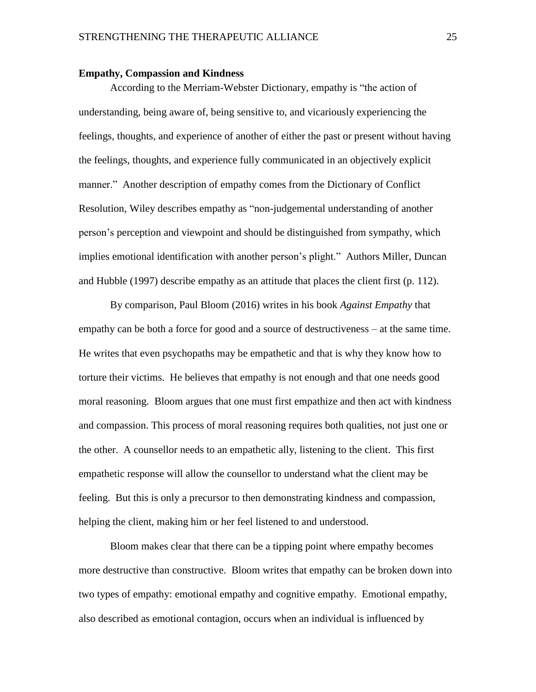#### <span id="page-24-0"></span>**Empathy, Compassion and Kindness**

According to the Merriam-Webster Dictionary, empathy is "the action of understanding, being aware of, being sensitive to, and vicariously experiencing the feelings, thoughts, and experience of another of either the past or present without having the feelings, thoughts, and experience fully communicated in an objectively explicit manner." Another description of empathy comes from the Dictionary of Conflict Resolution, Wiley describes empathy as "non-judgemental understanding of another person's perception and viewpoint and should be distinguished from sympathy, which implies emotional identification with another person's plight." Authors Miller, Duncan and Hubble (1997) describe empathy as an attitude that places the client first (p. 112).

By comparison, Paul Bloom (2016) writes in his book *Against Empathy* that empathy can be both a force for good and a source of destructiveness – at the same time. He writes that even psychopaths may be empathetic and that is why they know how to torture their victims. He believes that empathy is not enough and that one needs good moral reasoning. Bloom argues that one must first empathize and then act with kindness and compassion. This process of moral reasoning requires both qualities, not just one or the other. A counsellor needs to an empathetic ally, listening to the client. This first empathetic response will allow the counsellor to understand what the client may be feeling. But this is only a precursor to then demonstrating kindness and compassion, helping the client, making him or her feel listened to and understood.

Bloom makes clear that there can be a tipping point where empathy becomes more destructive than constructive. Bloom writes that empathy can be broken down into two types of empathy: emotional empathy and cognitive empathy. Emotional empathy, also described as emotional contagion, occurs when an individual is influenced by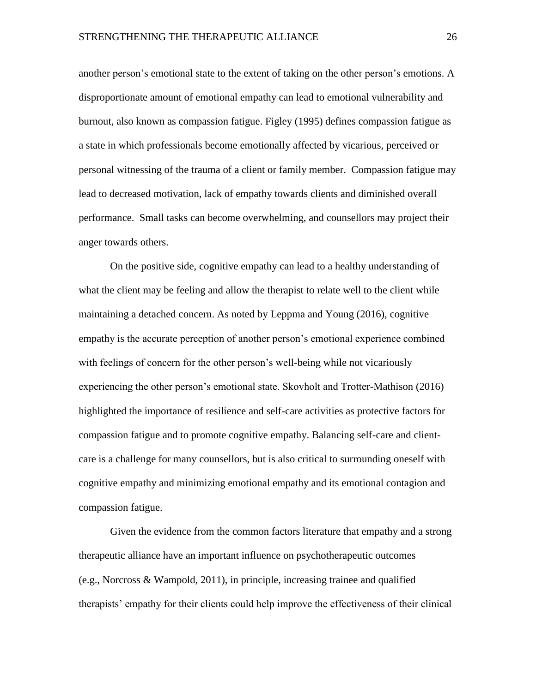another person's emotional state to the extent of taking on the other person's emotions. A disproportionate amount of emotional empathy can lead to emotional vulnerability and burnout, also known as compassion fatigue. Figley (1995) defines compassion fatigue as a state in which professionals become emotionally affected by vicarious, perceived or personal witnessing of the trauma of a client or family member. Compassion fatigue may lead to decreased motivation, lack of empathy towards clients and diminished overall performance. Small tasks can become overwhelming, and counsellors may project their anger towards others.

On the positive side, cognitive empathy can lead to a healthy understanding of what the client may be feeling and allow the therapist to relate well to the client while maintaining a detached concern. As noted by Leppma and Young (2016), cognitive empathy is the accurate perception of another person's emotional experience combined with feelings of concern for the other person's well-being while not vicariously experiencing the other person's emotional state. Skovholt and Trotter-Mathison (2016) highlighted the importance of resilience and self-care activities as protective factors for compassion fatigue and to promote cognitive empathy. Balancing self-care and clientcare is a challenge for many counsellors, but is also critical to surrounding oneself with cognitive empathy and minimizing emotional empathy and its emotional contagion and compassion fatigue.

Given the evidence from the common factors literature that empathy and a strong therapeutic alliance have an important influence on psychotherapeutic outcomes (e.g., Norcross & Wampold, 2011), in principle, increasing trainee and qualified therapists' empathy for their clients could help improve the effectiveness of their clinical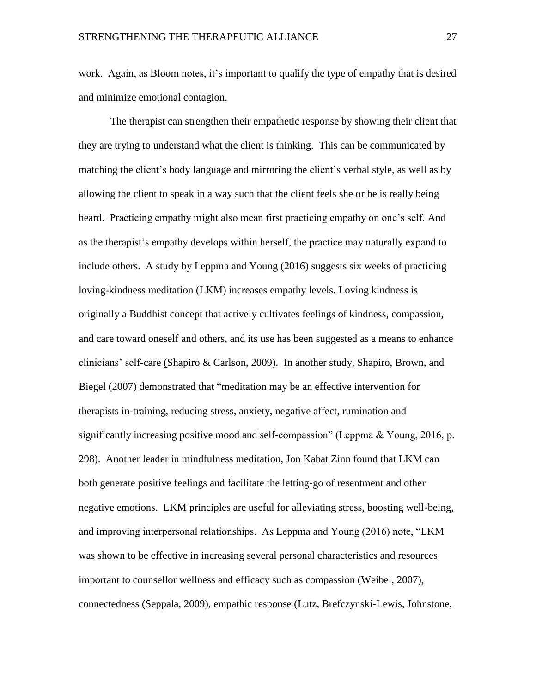work. Again, as Bloom notes, it's important to qualify the type of empathy that is desired and minimize emotional contagion.

The therapist can strengthen their empathetic response by showing their client that they are trying to understand what the client is thinking. This can be communicated by matching the client's body language and mirroring the client's verbal style, as well as by allowing the client to speak in a way such that the client feels she or he is really being heard. Practicing empathy might also mean first practicing empathy on one's self. And as the therapist's empathy develops within herself, the practice may naturally expand to include others. A study by Leppma and Young (2016) suggests six weeks of practicing loving-kindness meditation (LKM) increases empathy levels. Loving kindness is originally a Buddhist concept that actively cultivates feelings of kindness, compassion, and care toward oneself and others, and its use has been suggested as a means to enhance clinicians' self-care (Shapiro & Carlson, 2009). In another study, Shapiro, Brown, and Biegel (2007) demonstrated that "meditation may be an effective intervention for therapists in-training, reducing stress, anxiety, negative affect, rumination and significantly increasing positive mood and self-compassion" (Leppma & Young, 2016, p. 298). Another leader in mindfulness meditation, Jon Kabat Zinn found that LKM can both generate positive feelings and facilitate the letting-go of resentment and other negative emotions. LKM principles are useful for alleviating stress, boosting well-being, and improving interpersonal relationships. As Leppma and Young (2016) note, "LKM was shown to be effective in increasing several personal characteristics and resources important to counsellor wellness and efficacy such as compassion (Weibel, 2007), connectedness (Seppala, 2009), empathic response (Lutz, Brefczynski-Lewis, Johnstone,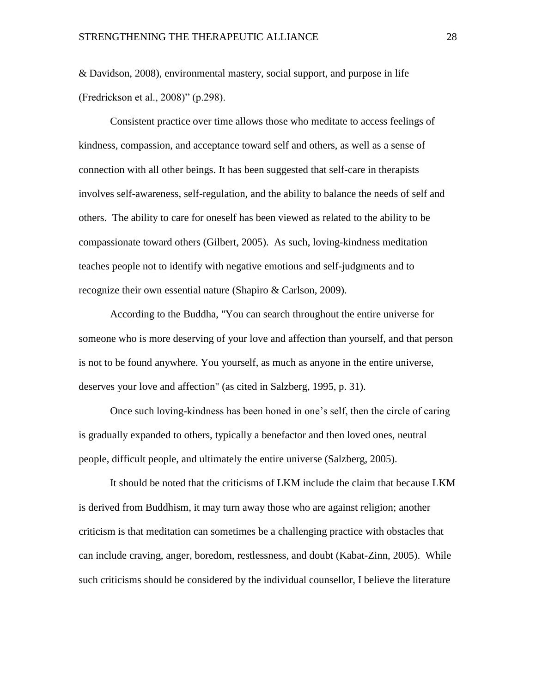& Davidson, 2008), environmental mastery, social support, and purpose in life (Fredrickson et al., 2008)" (p.298).

Consistent practice over time allows those who meditate to access feelings of kindness, compassion, and acceptance toward self and others, as well as a sense of connection with all other beings. It has been suggested that self-care in therapists involves self-awareness, self-regulation, and the ability to balance the needs of self and others. The ability to care for oneself has been viewed as related to the ability to be compassionate toward others (Gilbert, 2005). As such, loving-kindness meditation teaches people not to identify with negative emotions and self-judgments and to recognize their own essential nature (Shapiro & Carlson, 2009).

According to the Buddha, "You can search throughout the entire universe for someone who is more deserving of your love and affection than yourself, and that person is not to be found anywhere. You yourself, as much as anyone in the entire universe, deserves your love and affection" (as cited in Salzberg, 1995, p. 31).

Once such loving-kindness has been honed in one's self, then the circle of caring is gradually expanded to others, typically a benefactor and then loved ones, neutral people, difficult people, and ultimately the entire universe (Salzberg, 2005).

It should be noted that the criticisms of LKM include the claim that because LKM is derived from Buddhism, it may turn away those who are against religion; another criticism is that meditation can sometimes be a challenging practice with obstacles that can include craving, anger, boredom, restlessness, and doubt (Kabat-Zinn, 2005). While such criticisms should be considered by the individual counsellor, I believe the literature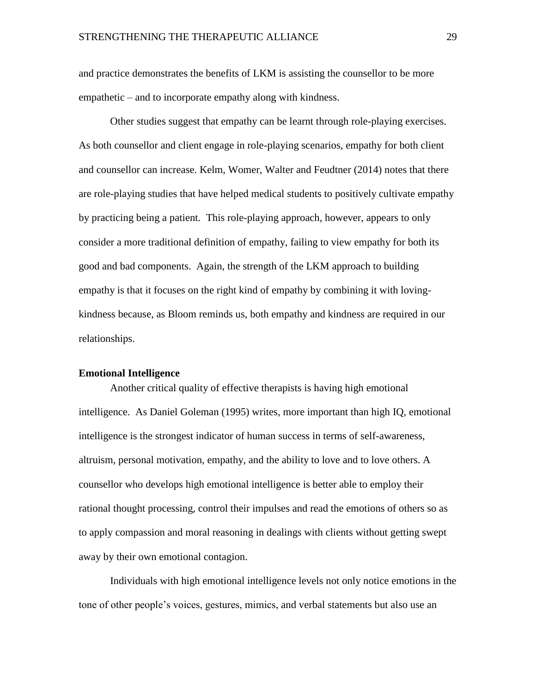and practice demonstrates the benefits of LKM is assisting the counsellor to be more empathetic – and to incorporate empathy along with kindness.

Other studies suggest that empathy can be learnt through role-playing exercises. As both counsellor and client engage in role-playing scenarios, empathy for both client and counsellor can increase. Kelm, Womer, Walter and Feudtner (2014) notes that there are role-playing studies that have helped medical students to positively cultivate empathy by practicing being a patient. This role-playing approach, however, appears to only consider a more traditional definition of empathy, failing to view empathy for both its good and bad components. Again, the strength of the LKM approach to building empathy is that it focuses on the right kind of empathy by combining it with lovingkindness because, as Bloom reminds us, both empathy and kindness are required in our relationships.

#### <span id="page-28-0"></span>**Emotional Intelligence**

Another critical quality of effective therapists is having high emotional intelligence. As Daniel Goleman (1995) writes, more important than high IQ, emotional intelligence is the strongest indicator of human success in terms of self-awareness, altruism, personal motivation, empathy, and the ability to love and to love others. A counsellor who develops high emotional intelligence is better able to employ their rational thought processing, control their impulses and read the emotions of others so as to apply compassion and moral reasoning in dealings with clients without getting swept away by their own emotional contagion.

Individuals with high emotional intelligence levels not only notice emotions in the tone of other people's voices, gestures, mimics, and verbal statements but also use an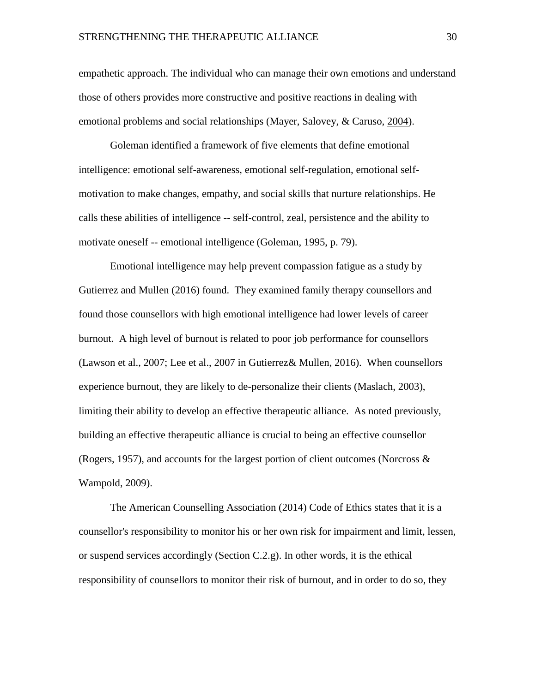empathetic approach. The individual who can manage their own emotions and understand those of others provides more constructive and positive reactions in dealing with emotional problems and social relationships (Mayer, Salovey, & Caruso, [2004\)](https://www-tandfonline-com.proxy.cityu.edu/doi/full/10.1080/03069885.2017.1379596?scroll=top&needAccess=true).

Goleman identified a framework of five elements that define emotional intelligence: emotional self-awareness, emotional self-regulation, emotional selfmotivation to make changes, empathy, and social skills that nurture relationships. He calls these abilities of intelligence -- self-control, zeal, persistence and the ability to motivate oneself -- emotional intelligence (Goleman, 1995, p. 79).

Emotional intelligence may help prevent compassion fatigue as a study by Gutierrez and Mullen (2016) found. They examined family therapy counsellors and found those counsellors with high emotional intelligence had lower levels of career burnout. A high level of burnout is related to poor job performance for counsellors (Lawson et al., 2007; Lee et al., 2007 in Gutierrez& Mullen, 2016). When counsellors experience burnout, they are likely to de-personalize their clients (Maslach, 2003), limiting their ability to develop an effective therapeutic alliance. As noted previously, building an effective therapeutic alliance is crucial to being an effective counsellor (Rogers, 1957), and accounts for the largest portion of client outcomes (Norcross & Wampold, 2009).

The American Counselling Association (2014) Code of Ethics states that it is a counsellor's responsibility to monitor his or her own risk for impairment and limit, lessen, or suspend services accordingly (Section  $C.2.g.$ ). In other words, it is the ethical responsibility of counsellors to monitor their risk of burnout, and in order to do so, they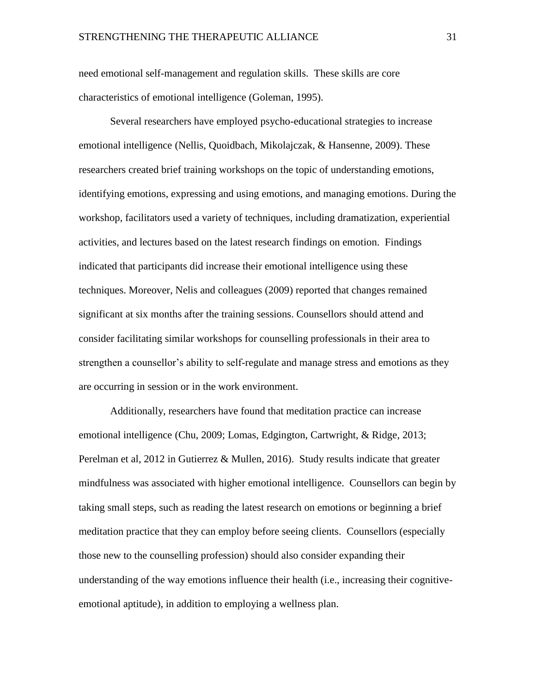need emotional self-management and regulation skills. These skills are core characteristics of emotional intelligence (Goleman, 1995).

Several researchers have employed psycho-educational strategies to increase emotional intelligence (Nellis, Quoidbach, Mikolajczak, & Hansenne, 2009). These researchers created brief training workshops on the topic of understanding emotions, identifying emotions, expressing and using emotions, and managing emotions. During the workshop, facilitators used a variety of techniques, including dramatization, experiential activities, and lectures based on the latest research findings on emotion. Findings indicated that participants did increase their emotional intelligence using these techniques. Moreover, Nelis and colleagues (2009) reported that changes remained significant at six months after the training sessions. Counsellors should attend and consider facilitating similar workshops for counselling professionals in their area to strengthen a counsellor's ability to self-regulate and manage stress and emotions as they are occurring in session or in the work environment.

Additionally, researchers have found that meditation practice can increase emotional intelligence (Chu, 2009; Lomas, Edgington, Cartwright, & Ridge, 2013; Perelman et al, 2012 in Gutierrez & Mullen, 2016). Study results indicate that greater mindfulness was associated with higher emotional intelligence. Counsellors can begin by taking small steps, such as reading the latest research on emotions or beginning a brief meditation practice that they can employ before seeing clients. Counsellors (especially those new to the counselling profession) should also consider expanding their understanding of the way emotions influence their health (i.e., increasing their cognitiveemotional aptitude), in addition to employing a wellness plan.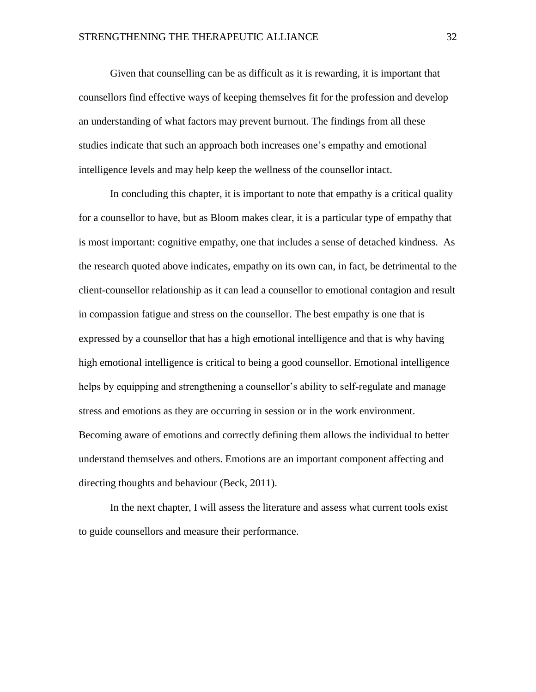Given that counselling can be as difficult as it is rewarding, it is important that counsellors find effective ways of keeping themselves fit for the profession and develop an understanding of what factors may prevent burnout. The findings from all these studies indicate that such an approach both increases one's empathy and emotional intelligence levels and may help keep the wellness of the counsellor intact.

In concluding this chapter, it is important to note that empathy is a critical quality for a counsellor to have, but as Bloom makes clear, it is a particular type of empathy that is most important: cognitive empathy, one that includes a sense of detached kindness. As the research quoted above indicates, empathy on its own can, in fact, be detrimental to the client-counsellor relationship as it can lead a counsellor to emotional contagion and result in compassion fatigue and stress on the counsellor. The best empathy is one that is expressed by a counsellor that has a high emotional intelligence and that is why having high emotional intelligence is critical to being a good counsellor. Emotional intelligence helps by equipping and strengthening a counsellor's ability to self-regulate and manage stress and emotions as they are occurring in session or in the work environment. Becoming aware of emotions and correctly defining them allows the individual to better understand themselves and others. Emotions are an important component affecting and directing thoughts and behaviour (Beck, 2011).

In the next chapter, I will assess the literature and assess what current tools exist to guide counsellors and measure their performance.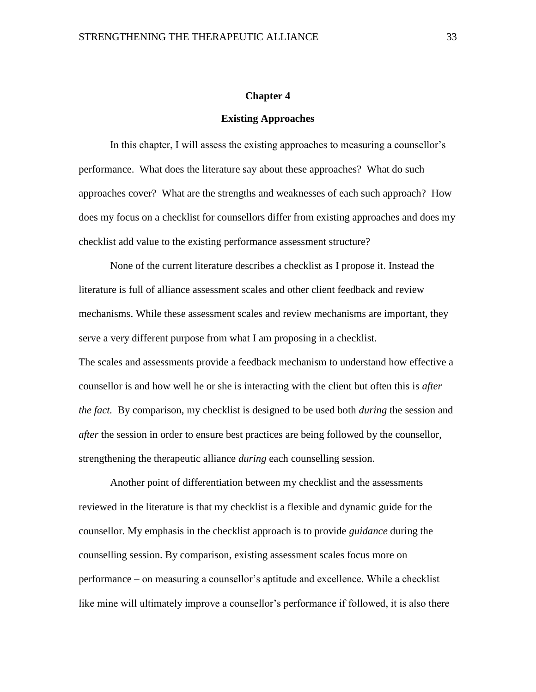#### **Chapter 4**

### **Existing Approaches**

<span id="page-32-1"></span><span id="page-32-0"></span>In this chapter, I will assess the existing approaches to measuring a counsellor's performance. What does the literature say about these approaches? What do such approaches cover? What are the strengths and weaknesses of each such approach? How does my focus on a checklist for counsellors differ from existing approaches and does my checklist add value to the existing performance assessment structure?

None of the current literature describes a checklist as I propose it. Instead the literature is full of alliance assessment scales and other client feedback and review mechanisms. While these assessment scales and review mechanisms are important, they serve a very different purpose from what I am proposing in a checklist. The scales and assessments provide a feedback mechanism to understand how effective a counsellor is and how well he or she is interacting with the client but often this is *after the fact.* By comparison, my checklist is designed to be used both *during* the session and *after* the session in order to ensure best practices are being followed by the counsellor, strengthening the therapeutic alliance *during* each counselling session.

Another point of differentiation between my checklist and the assessments reviewed in the literature is that my checklist is a flexible and dynamic guide for the counsellor. My emphasis in the checklist approach is to provide *guidance* during the counselling session. By comparison, existing assessment scales focus more on performance – on measuring a counsellor's aptitude and excellence. While a checklist like mine will ultimately improve a counsellor's performance if followed, it is also there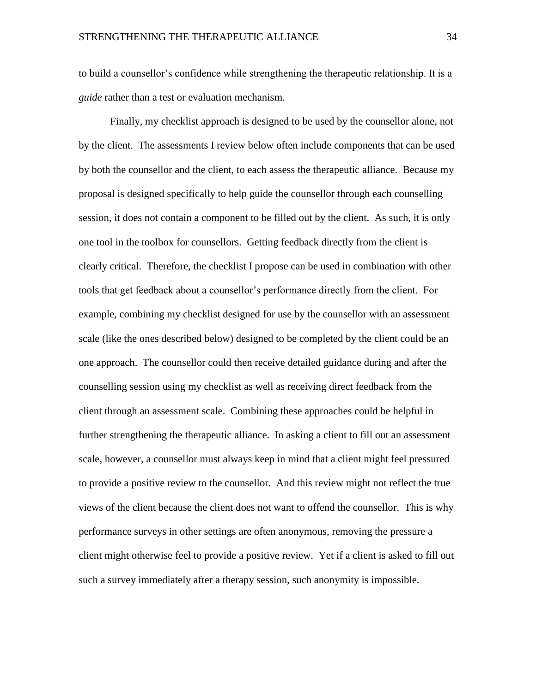to build a counsellor's confidence while strengthening the therapeutic relationship. It is a *guide* rather than a test or evaluation mechanism.

Finally, my checklist approach is designed to be used by the counsellor alone, not by the client. The assessments I review below often include components that can be used by both the counsellor and the client, to each assess the therapeutic alliance. Because my proposal is designed specifically to help guide the counsellor through each counselling session, it does not contain a component to be filled out by the client. As such, it is only one tool in the toolbox for counsellors. Getting feedback directly from the client is clearly critical. Therefore, the checklist I propose can be used in combination with other tools that get feedback about a counsellor's performance directly from the client. For example, combining my checklist designed for use by the counsellor with an assessment scale (like the ones described below) designed to be completed by the client could be an one approach. The counsellor could then receive detailed guidance during and after the counselling session using my checklist as well as receiving direct feedback from the client through an assessment scale. Combining these approaches could be helpful in further strengthening the therapeutic alliance. In asking a client to fill out an assessment scale, however, a counsellor must always keep in mind that a client might feel pressured to provide a positive review to the counsellor. And this review might not reflect the true views of the client because the client does not want to offend the counsellor. This is why performance surveys in other settings are often anonymous, removing the pressure a client might otherwise feel to provide a positive review. Yet if a client is asked to fill out such a survey immediately after a therapy session, such anonymity is impossible.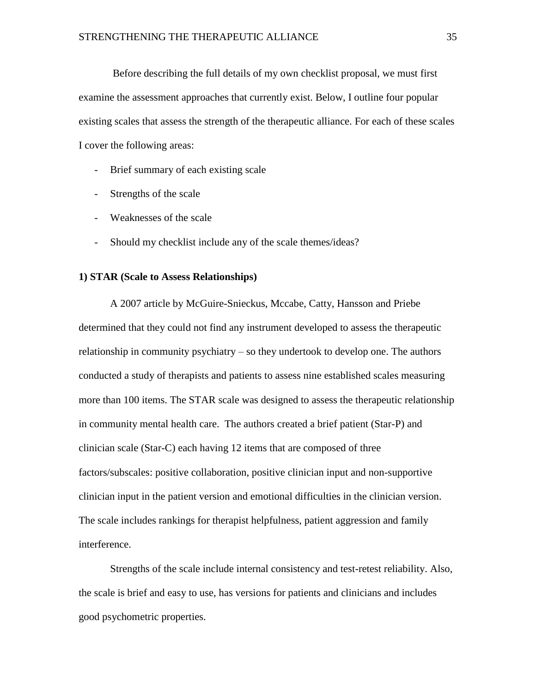Before describing the full details of my own checklist proposal, we must first examine the assessment approaches that currently exist. Below, I outline four popular existing scales that assess the strength of the therapeutic alliance. For each of these scales I cover the following areas:

- Brief summary of each existing scale
- Strengths of the scale
- Weaknesses of the scale
- Should my checklist include any of the scale themes/ideas?

#### <span id="page-34-0"></span>**1) STAR (Scale to Assess Relationships)**

A 2007 article by McGuire-Snieckus, Mccabe, Catty, Hansson and Priebe determined that they could not find any instrument developed to assess the therapeutic relationship in community psychiatry – so they undertook to develop one. The authors conducted a study of therapists and patients to assess nine established scales measuring more than 100 items. The STAR scale was designed to assess the therapeutic relationship in community mental health care. The authors created a brief patient (Star-P) and clinician scale (Star-C) each having 12 items that are composed of three factors/subscales: positive collaboration, positive clinician input and non-supportive clinician input in the patient version and emotional difficulties in the clinician version. The scale includes rankings for therapist helpfulness, patient aggression and family interference.

Strengths of the scale include internal consistency and test-retest reliability. Also, the scale is brief and easy to use, has versions for patients and clinicians and includes good psychometric properties.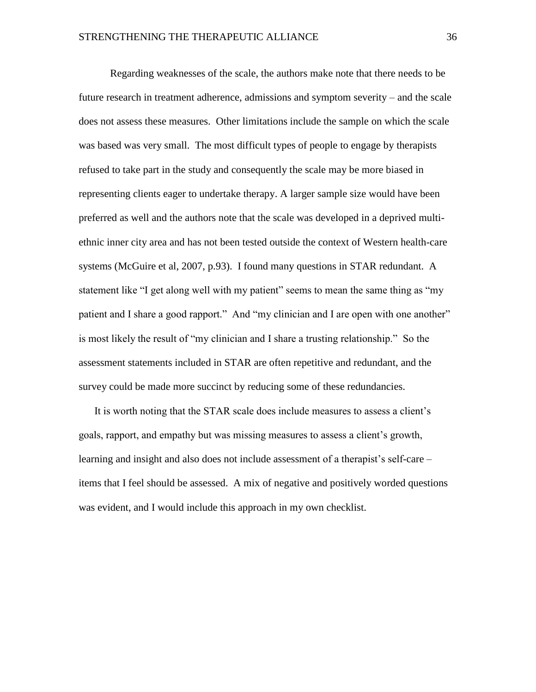Regarding weaknesses of the scale, the authors make note that there needs to be future research in treatment adherence, admissions and symptom severity – and the scale does not assess these measures. Other limitations include the sample on which the scale was based was very small. The most difficult types of people to engage by therapists refused to take part in the study and consequently the scale may be more biased in representing clients eager to undertake therapy. A larger sample size would have been preferred as well and the authors note that the scale was developed in a deprived multiethnic inner city area and has not been tested outside the context of Western health-care systems (McGuire et al, 2007, p.93). I found many questions in STAR redundant. A statement like "I get along well with my patient" seems to mean the same thing as "my patient and I share a good rapport." And "my clinician and I are open with one another" is most likely the result of "my clinician and I share a trusting relationship." So the assessment statements included in STAR are often repetitive and redundant, and the survey could be made more succinct by reducing some of these redundancies.

It is worth noting that the STAR scale does include measures to assess a client's goals, rapport, and empathy but was missing measures to assess a client's growth, learning and insight and also does not include assessment of a therapist's self-care – items that I feel should be assessed. A mix of negative and positively worded questions was evident, and I would include this approach in my own checklist.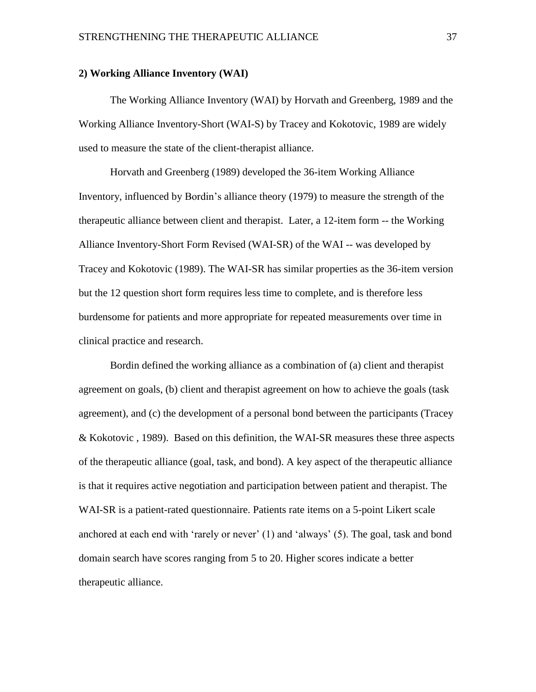#### <span id="page-36-0"></span>**2) Working Alliance Inventory (WAI)**

The Working Alliance Inventory (WAI) by Horvath and Greenberg, 1989 and the Working Alliance Inventory-Short (WAI-S) by Tracey and Kokotovic, 1989 are widely used to measure the state of the client-therapist alliance.

Horvath and Greenberg (1989) developed the 36-item Working Alliance Inventory, influenced by Bordin's alliance theory (1979) to measure the strength of the therapeutic alliance between client and therapist. Later, a 12-item form -- the Working Alliance Inventory-Short Form Revised (WAI-SR) of the WAI -- was developed by Tracey and Kokotovic (1989). The WAI-SR has similar properties as the 36-item version but the 12 question short form requires less time to complete, and is therefore less burdensome for patients and more appropriate for repeated measurements over time in clinical practice and research.

Bordin defined the working alliance as a combination of (a) client and therapist agreement on goals, (b) client and therapist agreement on how to achieve the goals (task agreement), and (c) the development of a personal bond between the participants (Tracey & Kokotovic , 1989). Based on this definition, the WAI-SR measures these three aspects of the therapeutic alliance (goal, task, and bond). A key aspect of the therapeutic alliance is that it requires active negotiation and participation between patient and therapist. The WAI-SR is a patient-rated questionnaire. Patients rate items on a 5-point Likert scale anchored at each end with 'rarely or never' (1) and 'always' (5). The goal, task and bond domain search have scores ranging from 5 to 20. Higher scores indicate a better therapeutic alliance.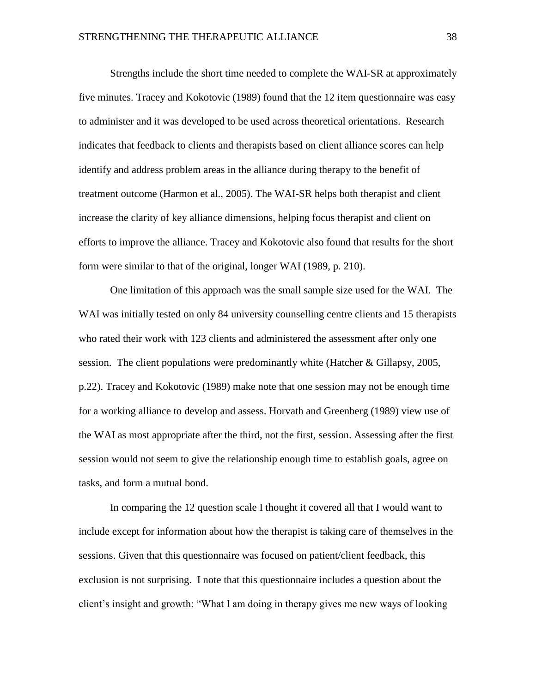Strengths include the short time needed to complete the WAI-SR at approximately five minutes. Tracey and Kokotovic (1989) found that the 12 item questionnaire was easy to administer and it was developed to be used across theoretical orientations. Research indicates that feedback to clients and therapists based on client alliance scores can help identify and address problem areas in the alliance during therapy to the benefit of treatment outcome (Harmon et al., 2005). The WAI-SR helps both therapist and client increase the clarity of key alliance dimensions, helping focus therapist and client on efforts to improve the alliance. Tracey and Kokotovic also found that results for the short form were similar to that of the original, longer WAI (1989, p. 210).

One limitation of this approach was the small sample size used for the WAI. The WAI was initially tested on only 84 university counselling centre clients and 15 therapists who rated their work with 123 clients and administered the assessment after only one session. The client populations were predominantly white (Hatcher & Gillapsy, 2005, p.22). Tracey and Kokotovic (1989) make note that one session may not be enough time for a working alliance to develop and assess. Horvath and Greenberg (1989) view use of the WAI as most appropriate after the third, not the first, session. Assessing after the first session would not seem to give the relationship enough time to establish goals, agree on tasks, and form a mutual bond.

In comparing the 12 question scale I thought it covered all that I would want to include except for information about how the therapist is taking care of themselves in the sessions. Given that this questionnaire was focused on patient/client feedback, this exclusion is not surprising. I note that this questionnaire includes a question about the client's insight and growth: "What I am doing in therapy gives me new ways of looking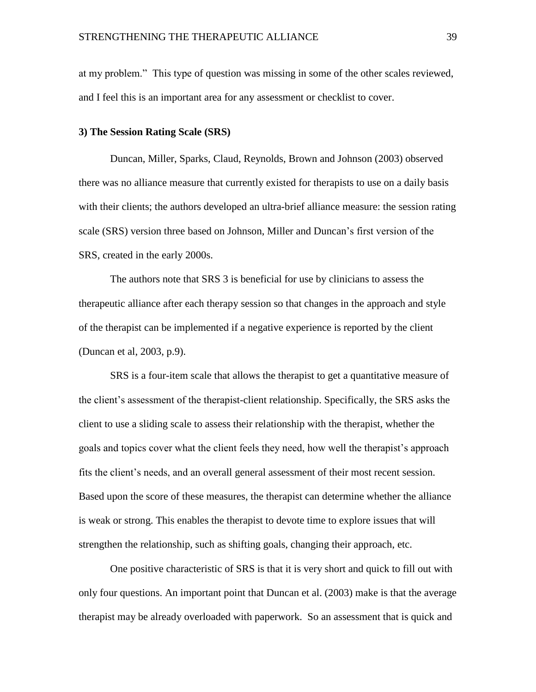at my problem." This type of question was missing in some of the other scales reviewed, and I feel this is an important area for any assessment or checklist to cover.

#### <span id="page-38-0"></span>**3) The Session Rating Scale (SRS)**

Duncan, Miller, Sparks, Claud, Reynolds, Brown and Johnson (2003) observed there was no alliance measure that currently existed for therapists to use on a daily basis with their clients; the authors developed an ultra-brief alliance measure: the session rating scale (SRS) version three based on Johnson, Miller and Duncan's first version of the SRS, created in the early 2000s.

The authors note that SRS 3 is beneficial for use by clinicians to assess the therapeutic alliance after each therapy session so that changes in the approach and style of the therapist can be implemented if a negative experience is reported by the client (Duncan et al, 2003, p.9).

SRS is a four-item scale that allows the therapist to get a quantitative measure of the client's assessment of the therapist-client relationship. Specifically, the SRS asks the client to use a sliding scale to assess their relationship with the therapist, whether the goals and topics cover what the client feels they need, how well the therapist's approach fits the client's needs, and an overall general assessment of their most recent session. Based upon the score of these measures, the therapist can determine whether the alliance is weak or strong. This enables the therapist to devote time to explore issues that will strengthen the relationship, such as shifting goals, changing their approach, etc.

One positive characteristic of SRS is that it is very short and quick to fill out with only four questions. An important point that Duncan et al. (2003) make is that the average therapist may be already overloaded with paperwork. So an assessment that is quick and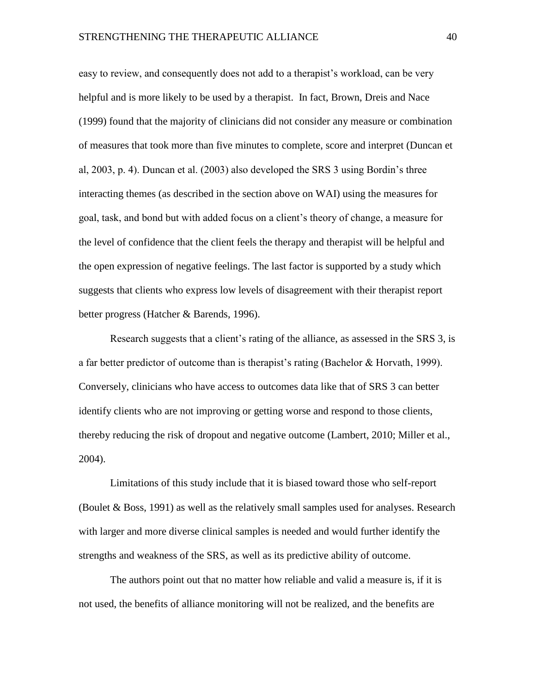easy to review, and consequently does not add to a therapist's workload, can be very helpful and is more likely to be used by a therapist. In fact, Brown, Dreis and Nace (1999) found that the majority of clinicians did not consider any measure or combination of measures that took more than five minutes to complete, score and interpret (Duncan et al, 2003, p. 4). Duncan et al. (2003) also developed the SRS 3 using Bordin's three interacting themes (as described in the section above on WAI) using the measures for goal, task, and bond but with added focus on a client's theory of change, a measure for the level of confidence that the client feels the therapy and therapist will be helpful and the open expression of negative feelings. The last factor is supported by a study which suggests that clients who express low levels of disagreement with their therapist report better progress (Hatcher & Barends, 1996).

Research suggests that a client's rating of the alliance, as assessed in the SRS 3, is a far better predictor of outcome than is therapist's rating (Bachelor & Horvath, 1999). Conversely, clinicians who have access to outcomes data like that of SRS 3 can better identify clients who are not improving or getting worse and respond to those clients, thereby reducing the risk of dropout and negative outcome (Lambert, 2010; Miller et al., 2004).

Limitations of this study include that it is biased toward those who self-report (Boulet & Boss, 1991) as well as the relatively small samples used for analyses. Research with larger and more diverse clinical samples is needed and would further identify the strengths and weakness of the SRS, as well as its predictive ability of outcome.

The authors point out that no matter how reliable and valid a measure is, if it is not used, the benefits of alliance monitoring will not be realized, and the benefits are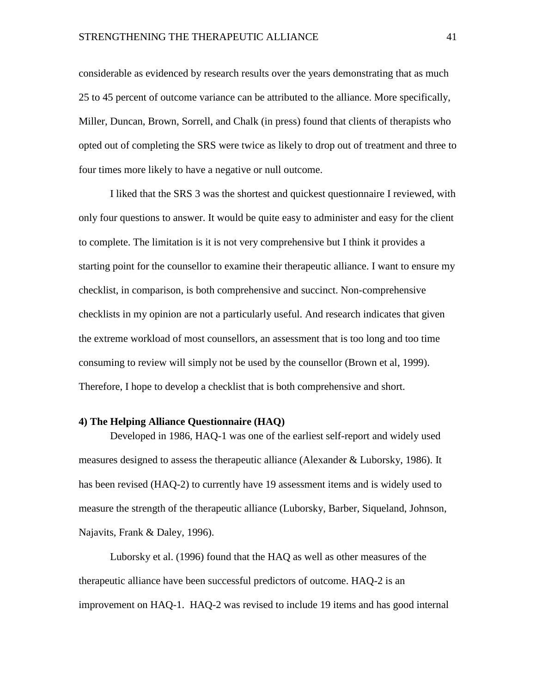considerable as evidenced by research results over the years demonstrating that as much 25 to 45 percent of outcome variance can be attributed to the alliance. More specifically, Miller, Duncan, Brown, Sorrell, and Chalk (in press) found that clients of therapists who opted out of completing the SRS were twice as likely to drop out of treatment and three to four times more likely to have a negative or null outcome.

I liked that the SRS 3 was the shortest and quickest questionnaire I reviewed, with only four questions to answer. It would be quite easy to administer and easy for the client to complete. The limitation is it is not very comprehensive but I think it provides a starting point for the counsellor to examine their therapeutic alliance. I want to ensure my checklist, in comparison, is both comprehensive and succinct. Non-comprehensive checklists in my opinion are not a particularly useful. And research indicates that given the extreme workload of most counsellors, an assessment that is too long and too time consuming to review will simply not be used by the counsellor (Brown et al, 1999). Therefore, I hope to develop a checklist that is both comprehensive and short.

#### <span id="page-40-0"></span>**4) The Helping Alliance Questionnaire (HAQ)**

Developed in 1986, HAQ-1 was one of the earliest self-report and widely used measures designed to assess the therapeutic alliance (Alexander & Luborsky, 1986). It has been revised (HAQ-2) to currently have 19 assessment items and is widely used to measure the strength of the therapeutic alliance (Luborsky, Barber, Siqueland, Johnson, Najavits, Frank & Daley, 1996).

Luborsky et al. (1996) found that the HAQ as well as other measures of the therapeutic alliance have been successful predictors of outcome. HAQ-2 is an improvement on HAQ-1. HAQ-2 was revised to include 19 items and has good internal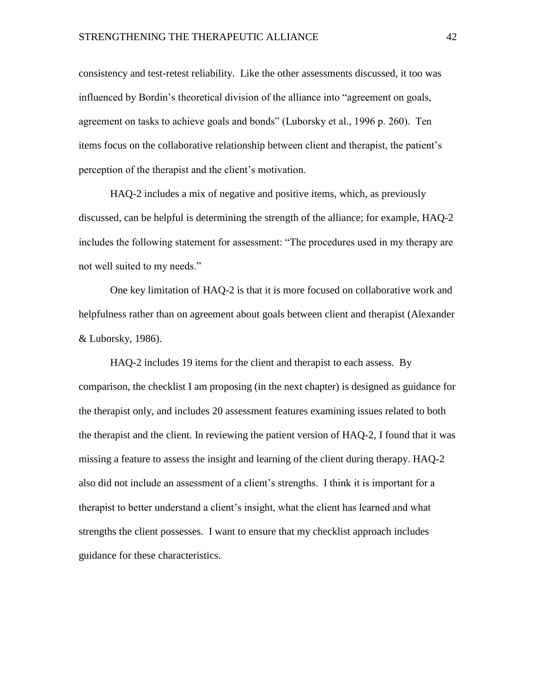consistency and test-retest reliability. Like the other assessments discussed, it too was influenced by Bordin's theoretical division of the alliance into "agreement on goals, agreement on tasks to achieve goals and bonds" (Luborsky et al., 1996 p. 260). Ten items focus on the collaborative relationship between client and therapist, the patient's perception of the therapist and the client's motivation.

HAQ-2 includes a mix of negative and positive items, which, as previously discussed, can be helpful is determining the strength of the alliance; for example, HAQ-2 includes the following statement for assessment: "The procedures used in my therapy are not well suited to my needs."

One key limitation of HAQ-2 is that it is more focused on collaborative work and helpfulness rather than on agreement about goals between client and therapist (Alexander & Luborsky, 1986).

HAQ-2 includes 19 items for the client and therapist to each assess. By comparison, the checklist I am proposing (in the next chapter) is designed as guidance for the therapist only, and includes 20 assessment features examining issues related to both the therapist and the client. In reviewing the patient version of HAQ-2, I found that it was missing a feature to assess the insight and learning of the client during therapy. HAQ-2 also did not include an assessment of a client's strengths. I think it is important for a therapist to better understand a client's insight, what the client has learned and what strengths the client possesses. I want to ensure that my checklist approach includes guidance for these characteristics.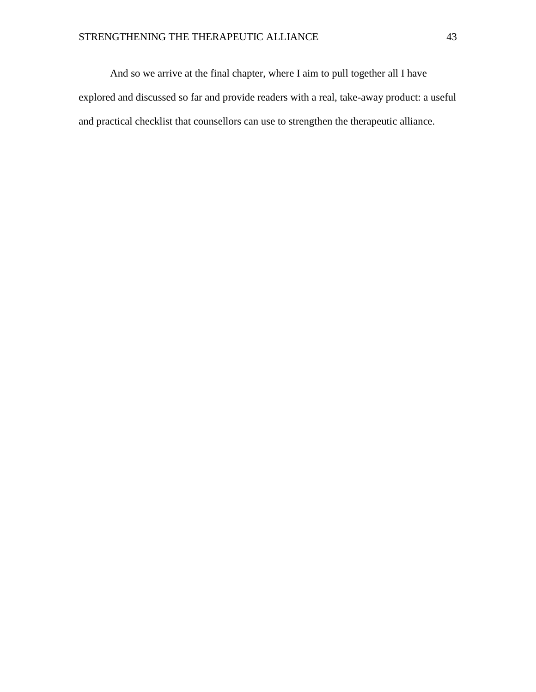And so we arrive at the final chapter, where I aim to pull together all I have explored and discussed so far and provide readers with a real, take-away product: a useful and practical checklist that counsellors can use to strengthen the therapeutic alliance.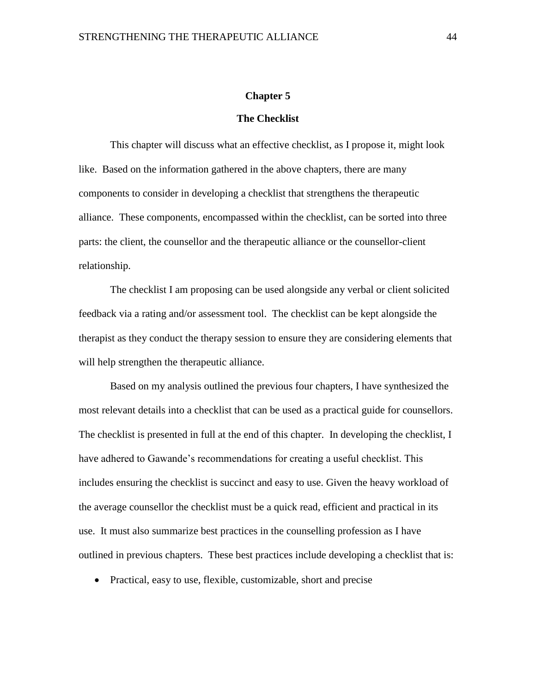#### **Chapter 5**

#### **The Checklist**

<span id="page-43-1"></span><span id="page-43-0"></span>This chapter will discuss what an effective checklist, as I propose it, might look like. Based on the information gathered in the above chapters, there are many components to consider in developing a checklist that strengthens the therapeutic alliance. These components, encompassed within the checklist, can be sorted into three parts: the client, the counsellor and the therapeutic alliance or the counsellor-client relationship.

The checklist I am proposing can be used alongside any verbal or client solicited feedback via a rating and/or assessment tool. The checklist can be kept alongside the therapist as they conduct the therapy session to ensure they are considering elements that will help strengthen the therapeutic alliance.

Based on my analysis outlined the previous four chapters, I have synthesized the most relevant details into a checklist that can be used as a practical guide for counsellors. The checklist is presented in full at the end of this chapter. In developing the checklist, I have adhered to Gawande's recommendations for creating a useful checklist. This includes ensuring the checklist is succinct and easy to use. Given the heavy workload of the average counsellor the checklist must be a quick read, efficient and practical in its use. It must also summarize best practices in the counselling profession as I have outlined in previous chapters. These best practices include developing a checklist that is:

• Practical, easy to use, flexible, customizable, short and precise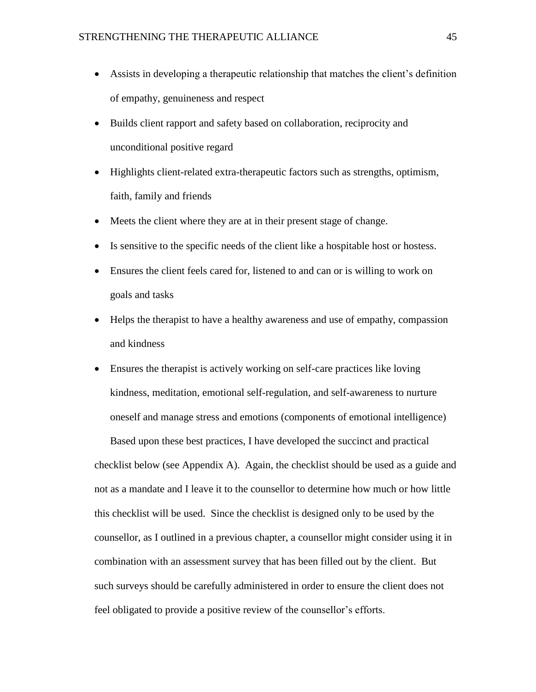- Assists in developing a therapeutic relationship that matches the client's definition of empathy, genuineness and respect
- Builds client rapport and safety based on collaboration, reciprocity and unconditional positive regard
- Highlights client-related extra-therapeutic factors such as strengths, optimism, faith, family and friends
- Meets the client where they are at in their present stage of change.
- Is sensitive to the specific needs of the client like a hospitable host or hostess.
- Ensures the client feels cared for, listened to and can or is willing to work on goals and tasks
- Helps the therapist to have a healthy awareness and use of empathy, compassion and kindness
- Ensures the therapist is actively working on self-care practices like loving kindness, meditation, emotional self-regulation, and self-awareness to nurture oneself and manage stress and emotions (components of emotional intelligence)

Based upon these best practices, I have developed the succinct and practical checklist below (see Appendix A). Again, the checklist should be used as a guide and not as a mandate and I leave it to the counsellor to determine how much or how little this checklist will be used. Since the checklist is designed only to be used by the counsellor, as I outlined in a previous chapter, a counsellor might consider using it in combination with an assessment survey that has been filled out by the client. But such surveys should be carefully administered in order to ensure the client does not feel obligated to provide a positive review of the counsellor's efforts.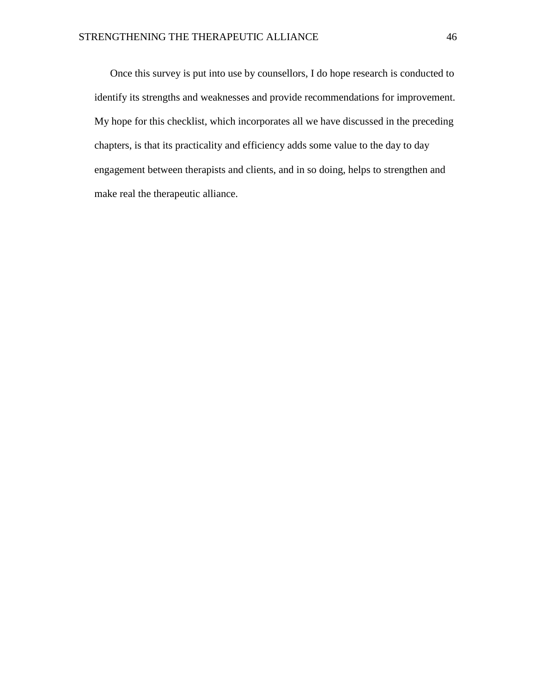Once this survey is put into use by counsellors, I do hope research is conducted to identify its strengths and weaknesses and provide recommendations for improvement. My hope for this checklist, which incorporates all we have discussed in the preceding chapters, is that its practicality and efficiency adds some value to the day to day engagement between therapists and clients, and in so doing, helps to strengthen and make real the therapeutic alliance.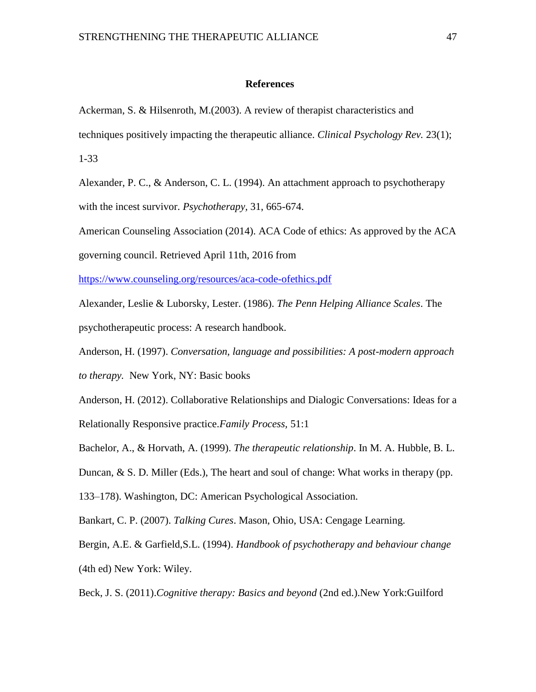#### <span id="page-46-0"></span>**References**

Ackerman, S. & Hilsenroth, M.(2003). A review of therapist characteristics and techniques positively impacting the therapeutic alliance. *Clinical Psychology Rev.* 23(1); 1-33

Alexander, P. C., & Anderson, C. L. (1994). An attachment approach to psychotherapy with the incest survivor. *Psychotherapy,* 31, 665-674.

American Counseling Association (2014). ACA Code of ethics: As approved by the ACA

governing council. Retrieved April 11th, 2016 from

<https://www.counseling.org/resources/aca-code-ofethics.pdf>

Alexander, Leslie & Luborsky, Lester. (1986). *The Penn Helping Alliance Scales*. The psychotherapeutic process: A research handbook.

Anderson, H. (1997). *Conversation, language and possibilities: A post-modern approach to therapy.* New York, NY: Basic books

Anderson, H. (2012). Collaborative Relationships and Dialogic Conversations: Ideas for a Relationally Responsive practice.*Family Process,* 51:1

Bachelor, A., & Horvath, A. (1999). *The therapeutic relationship*. In M. A. Hubble, B. L.

Duncan, & S. D. Miller (Eds.), The heart and soul of change: What works in therapy (pp.

133–178). Washington, DC: American Psychological Association.

Bankart, C. P. (2007). *Talking Cures*. Mason, Ohio, USA: Cengage Learning.

Bergin, A.E. & Garfield,S.L. (1994). *Handbook of psychotherapy and behaviour change* (4th ed) New York: Wiley.

Beck, J. S. (2011).*Cognitive therapy: Basics and beyond* (2nd ed.).New York:Guilford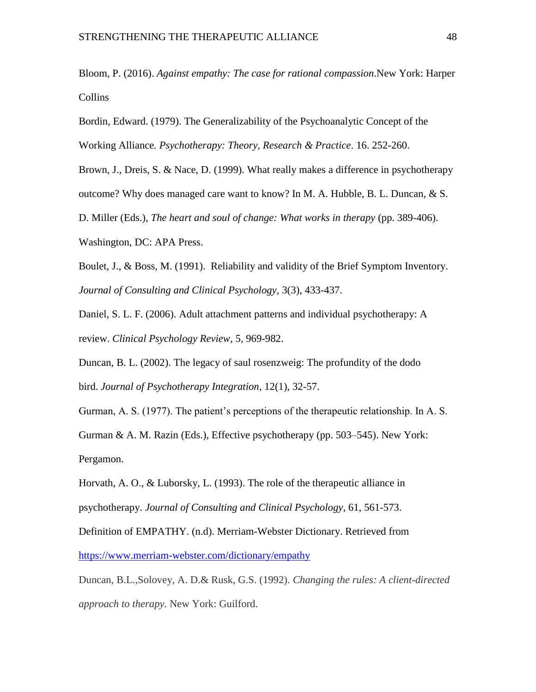Bloom, P. (2016). *Against empathy: The case for rational compassion*.New York: Harper Collins

Bordin, Edward. (1979). The Generalizability of the Psychoanalytic Concept of the Working Alliance*. Psychotherapy: Theory, Research & Practice*. 16. 252-260.

Brown, J., Dreis, S. & Nace, D. (1999). What really makes a difference in psychotherapy

outcome? Why does managed care want to know? In M. A. Hubble, B. L. Duncan, & S.

D. Miller (Eds.), *The heart and soul of change: What works in therapy* (pp. 389-406).

Washington, DC: APA Press.

Boulet, J., & Boss, M. (1991). Reliability and validity of the Brief Symptom Inventory. *Journal of Consulting and Clinical Psychology*, 3(3), 433-437.

Daniel, S. L. F. (2006). Adult attachment patterns and individual psychotherapy: A review. *Clinical Psychology Review*, 5, 969-982.

Duncan, B. L. (2002). The legacy of saul rosenzweig: The profundity of the dodo bird. *Journal of Psychotherapy Integration*, 12(1), 32-57.

Gurman, A. S. (1977). The patient's perceptions of the therapeutic relationship. In A. S.

Gurman & A. M. Razin (Eds.), Effective psychotherapy (pp. 503–545). New York: Pergamon.

Horvath, A. O., & Luborsky, L. (1993). The role of the therapeutic alliance in psychotherapy. *Journal of Consulting and Clinical Psychology*, 61, 561-573.

Definition of EMPATHY. (n.d). Merriam-Webster Dictionary. Retrieved from <https://www.merriam-webster.com/dictionary/empathy>

Duncan, B.L.,Solovey, A. D.& Rusk, G.S. (1992). *Changing the rules: A client-directed approach to therapy.* New York: Guilford.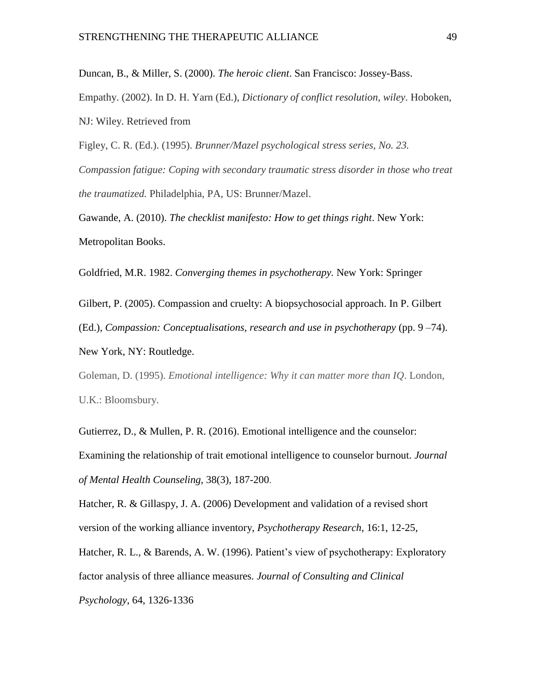Duncan, B., & Miller, S. (2000). *The heroic client*. San Francisco: Jossey-Bass. Empathy. (2002). In D. H. Yarn (Ed.), *Dictionary of conflict resolution, wiley*. Hoboken, NJ: Wiley. Retrieved from

Figley, C. R. (Ed.). (1995). *Brunner/Mazel psychological stress series, No. 23. Compassion fatigue: Coping with secondary traumatic stress disorder in those who treat the traumatized.* Philadelphia, PA, US: Brunner/Mazel.

Gawande, A. (2010). *The checklist manifesto: How to get things right*. New York: Metropolitan Books.

Goldfried, M.R. 1982. *Converging themes in psychotherapy.* New York: Springer

Gilbert, P. (2005). Compassion and cruelty: A biopsychosocial approach. In P. Gilbert (Ed.), *Compassion: Conceptualisations, research and use in psychotherapy* (pp. 9 –74).

New York, NY: Routledge.

Goleman, D. (1995). *Emotional intelligence: Why it can matter more than IQ*. London, U.K.: Bloomsbury.

Gutierrez, D., & Mullen, P. R. (2016). Emotional intelligence and the counselor: Examining the relationship of trait emotional intelligence to counselor burnout. *Journal of Mental Health Counseling,* 38(3), 187-200.

Hatcher, R. & Gillaspy, J. A. (2006) Development and validation of a revised short version of the working alliance inventory, *Psychotherapy Research*, 16:1, 12-25,

Hatcher, R. L., & Barends, A. W. (1996). Patient's view of psychotherapy: Exploratory factor analysis of three alliance measures. *Journal of Consulting and Clinical Psychology*, 64, 1326-1336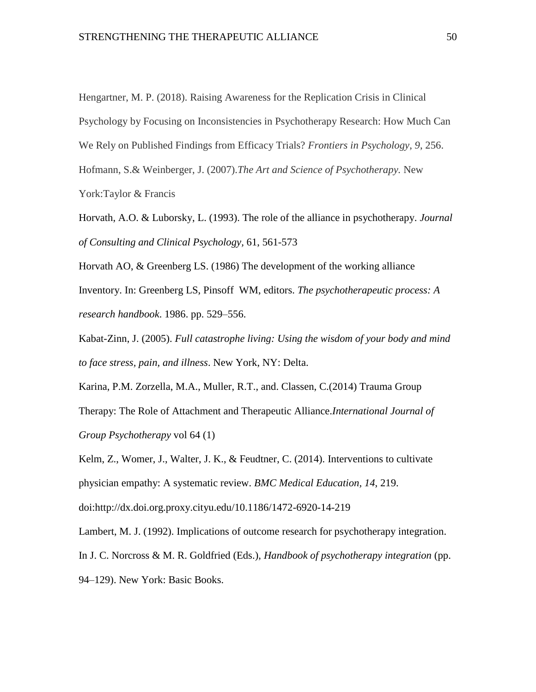Hengartner, M. P. (2018). Raising Awareness for the Replication Crisis in Clinical

Psychology by Focusing on Inconsistencies in Psychotherapy Research: How Much Can

We Rely on Published Findings from Efficacy Trials? *Frontiers in Psychology*, *9*, 256.

Hofmann, S.& Weinberger, J. (2007).*The Art and Science of Psychotherapy.* New

York:Taylor & Francis

Horvath, A.O. & Luborsky, L. (1993). The role of the alliance in psychotherapy. *Journal of Consulting and Clinical Psychology,* 61, 561-573

Horvath AO, & Greenberg LS. (1986) The development of the working alliance Inventory. In: Greenberg LS, Pinsoff WM, editors. *The psychotherapeutic process: A research handbook*. 1986. pp. 529–556.

Kabat-Zinn, J. (2005). *Full catastrophe living: Using the wisdom of your body and mind to face stress, pain, and illness*. New York, NY: Delta.

Karina, P.M. Zorzella, M.A., Muller, R.T., and. Classen, C.(2014) Trauma Group Therapy: The Role of Attachment and Therapeutic Alliance.*International Journal of Group Psychotherapy* vol 64 (1)

Kelm, Z., Womer, J., Walter, J. K., & Feudtner, C. (2014). Interventions to cultivate physician empathy: A systematic review. *BMC Medical Education, 14*, 219. doi:http://dx.doi.org.proxy.cityu.edu/10.1186/1472-6920-14-219

Lambert, M. J. (1992). Implications of outcome research for psychotherapy integration. In J. C. Norcross & M. R. Goldfried (Eds.), *Handbook of psychotherapy integration* (pp. 94–129). New York: Basic Books.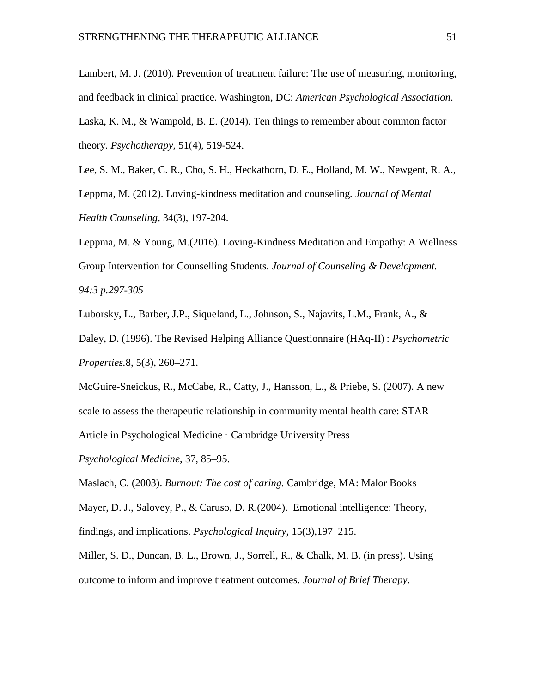Lambert, M. J. (2010). Prevention of treatment failure: The use of measuring, monitoring, and feedback in clinical practice. Washington, DC: *American Psychological Association*. Laska, K. M., & Wampold, B. E. (2014). Ten things to remember about common factor theory. *Psychotherapy*, 51(4), 519-524.

Lee, S. M., Baker, C. R., Cho, S. H., Heckathorn, D. E., Holland, M. W., Newgent, R. A.,

Leppma, M. (2012). Loving-kindness meditation and counseling*. Journal of Mental Health Counseling,* 34(3), 197-204.

Leppma, M. & Young, M.(2016). Loving-Kindness Meditation and Empathy: A Wellness Group Intervention for Counselling Students. *Journal of Counseling & Development. 94:3 p.297-305*

Luborsky, L., Barber, J.P., Siqueland, L., Johnson, S., Najavits, L.M., Frank, A., &

Daley, D. (1996). The Revised Helping Alliance Questionnaire (HAq-II) : *Psychometric Properties.*8, 5(3), 260–271.

McGuire-Sneickus, R., McCabe, R., Catty, J., Hansson, L., & Priebe, S. (2007). A new scale to assess the therapeutic relationship in community mental health care: STAR Article in Psychological Medicine · Cambridge University Press

*Psychological Medicine*, 37, 85–95.

Maslach, C. (2003). *Burnout: The cost of caring.* Cambridge, MA: Malor Books

Mayer, D. J., Salovey, P., & Caruso, D. R.(2004). Emotional intelligence: Theory, findings, and implications. *Psychological Inquiry*, 15(3),197–215.

Miller, S. D., Duncan, B. L., Brown, J., Sorrell, R., & Chalk, M. B. (in press). Using outcome to inform and improve treatment outcomes. *Journal of Brief Therapy*.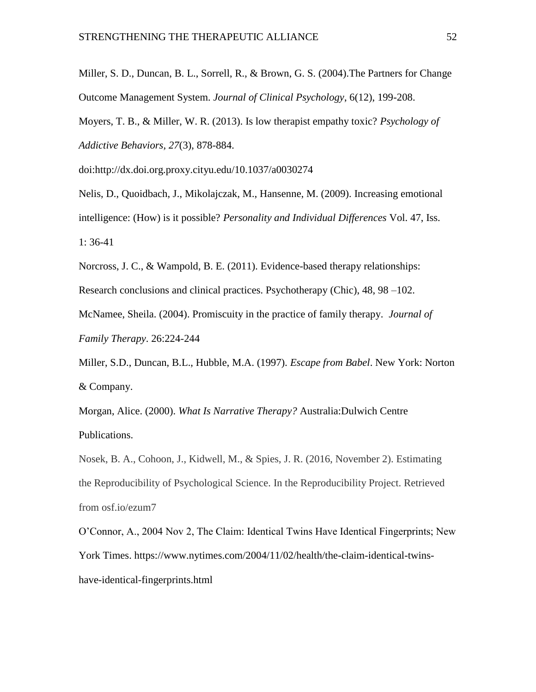Miller, S. D., Duncan, B. L., Sorrell, R., & Brown, G. S. (2004).The Partners for Change Outcome Management System. *Journal of Clinical Psychology*, 6(12), 199-208.

Moyers, T. B., & Miller, W. R. (2013). Is low therapist empathy toxic? *Psychology of Addictive Behaviors, 27*(3), 878-884.

doi:http://dx.doi.org.proxy.cityu.edu/10.1037/a0030274

Nelis, D., Quoidbach, J., Mikolajczak, M., Hansenne, M. (2009). [Increasing emotional](https://search-proquest-com.proxy.cityu.edu/docview/621938856/27782132000343BAPQ/36?accountid=1230)  [intelligence: \(How\) is it possible?](https://search-proquest-com.proxy.cityu.edu/docview/621938856/27782132000343BAPQ/36?accountid=1230) *Personality and Individual Differences* Vol. 47, Iss. 1: 36-41

Norcross, J. C., & Wampold, B. E. (2011). Evidence-based therapy relationships:

Research conclusions and clinical practices. Psychotherapy (Chic), 48, 98 –102.

McNamee, Sheila. (2004). Promiscuity in the practice of family therapy. *Journal of Family Therapy*. 26:224-244

Miller, S.D., Duncan, B.L., Hubble, M.A. (1997). *Escape from Babel*. New York: Norton & Company.

Morgan, Alice. (2000). *What Is Narrative Therapy?* Australia:Dulwich Centre Publications.

Nosek, B. A., Cohoon, J., Kidwell, M., & Spies, J. R. (2016, November 2). Estimating the Reproducibility of Psychological Science. In the Reproducibility Project. Retrieved from osf.io/ezum7

O'Connor, A., 2004 Nov 2, The Claim: Identical Twins Have Identical Fingerprints; New York Times. https://www.nytimes.com/2004/11/02/health/the-claim-identical-twinshave-identical-fingerprints.html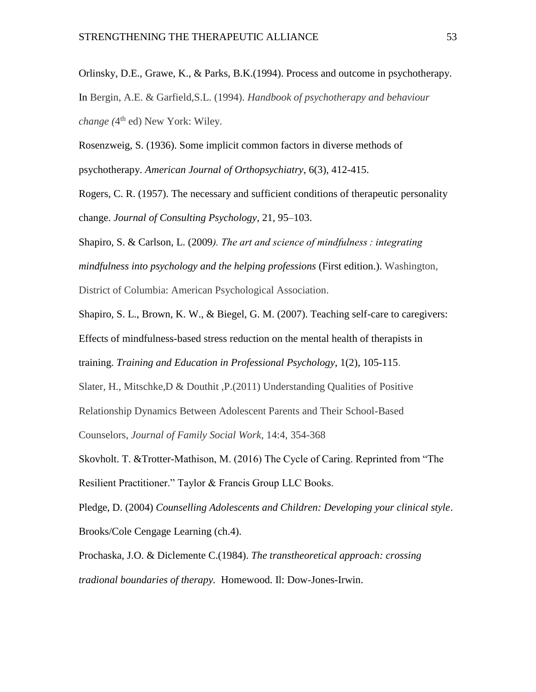Orlinsky, D.E., Grawe, K., & Parks, B.K.(1994). Process and outcome in psychotherapy. In Bergin, A.E. & Garfield,S.L. (1994). *Handbook of psychotherapy and behaviour*  change (4<sup>th</sup> ed) New York: Wiley.

Rosenzweig, S. (1936). Some implicit common factors in diverse methods of

psychotherapy. *American Journal of Orthopsychiatry*, 6(3), 412-415.

Rogers, C. R. (1957). The necessary and sufficient conditions of therapeutic personality change. *Journal of Consulting Psychology*, 21, 95–103.

Shapiro, S. & Carlson, L. (2009*). The art and science of mindfulness : integrating mindfulness into psychology and the helping professions* (First edition.). Washington, District of Columbia: American Psychological Association.

Shapiro, S. L., Brown, K. W., & Biegel, G. M. (2007). Teaching self-care to caregivers: Effects of mindfulness-based stress reduction on the mental health of therapists in training. *Training and Education in Professional Psychology*, 1(2), 105-115.

Slater, H., Mitschke,D & Douthit ,P.(2011) Understanding Qualities of Positive

Relationship Dynamics Between Adolescent Parents and Their School-Based

Counselors, *Journal of Family Social Work*, 14:4, 354-368

Skovholt. T. &Trotter-Mathison, M. (2016) The Cycle of Caring. Reprinted from "The Resilient Practitioner." Taylor & Francis Group LLC Books.

Pledge, D. (2004) *Counselling Adolescents and Children: Developing your clinical style*. Brooks/Cole Cengage Learning (ch.4).

Prochaska, J.O. & Diclemente C.(1984). *The transtheoretical approach: crossing tradional boundaries of therapy.* Homewood. Il: Dow-Jones-Irwin.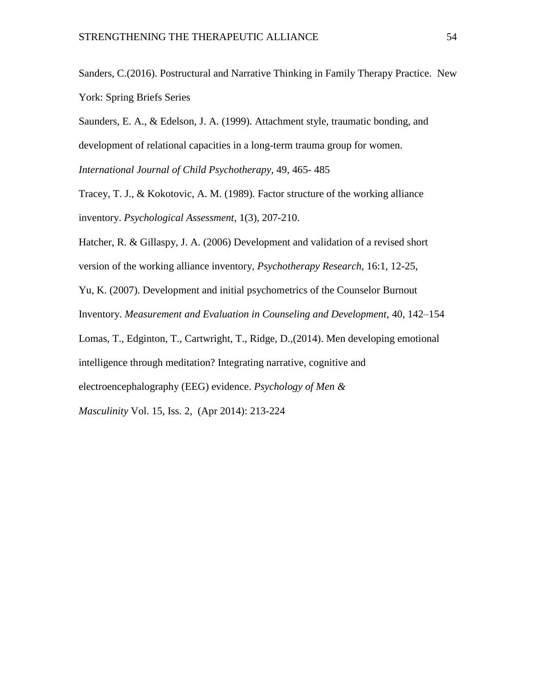Sanders, C.(2016). Postructural and Narrative Thinking in Family Therapy Practice. New York: Spring Briefs Series

Saunders, E. A., & Edelson, J. A. (1999). Attachment style, traumatic bonding, and development of relational capacities in a long-term trauma group for women.

*International Journal of Child Psychotherapy*, 49, 465- 485

Tracey, T. J., & Kokotovic, A. M. (1989). Factor structure of the working alliance inventory. *Psychological Assessment*, 1(3), 207-210.

Hatcher, R. & Gillaspy, J. A. (2006) Development and validation of a revised short version of the working alliance inventory, *Psychotherapy Research*, 16:1, 12-25,

Yu, K. (2007). Development and initial psychometrics of the Counselor Burnout

Inventory. *Measurement and Evaluation in Counseling and Development*, 40, 142–154

Lomas, T., Edginton, T., Cartwright, T., Ridge, D.,(2014). [Men developing emotional](https://search-proquest-com.proxy.cityu.edu/docview/1371261901/89BDC00427714DACPQ/27?accountid=1230) 

[intelligence through meditation? Integrating narrative, cognitive and](https://search-proquest-com.proxy.cityu.edu/docview/1371261901/89BDC00427714DACPQ/27?accountid=1230) 

[electroencephalography \(EEG\) evidence.](https://search-proquest-com.proxy.cityu.edu/docview/1371261901/89BDC00427714DACPQ/27?accountid=1230) *Psychology of Men &* 

*Masculinity* Vol. 15, Iss. 2, (Apr 2014): 213-224